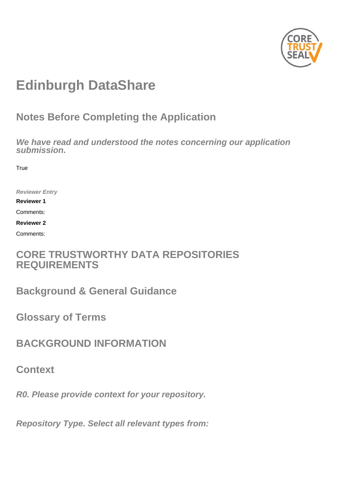

# **Edinburgh DataShare**

## **Notes Before Completing the Application**

**We have read and understood the notes concerning our application submission.**

**True** 

**Reviewer Entry**

**Reviewer 1**

Comments:

**Reviewer 2**

Comments:

## **CORE TRUSTWORTHY DATA REPOSITORIES REQUIREMENTS**

**Background & General Guidance**

**Glossary of Terms**

**BACKGROUND INFORMATION**

**Context**

**R0. Please provide context for your repository.**

**Repository Type. Select all relevant types from:**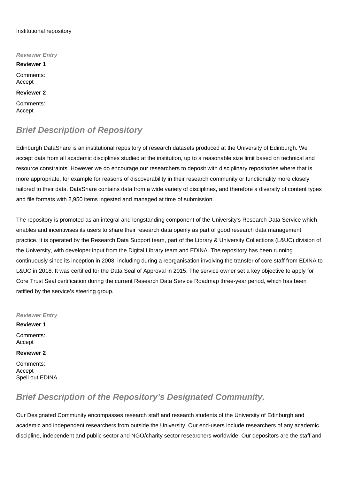#### Institutional repository

**Reviewer Entry Reviewer 1** Comments: Accept **Reviewer 2** Comments: Accept

## **Brief Description of Repository**

Edinburgh DataShare is an institutional repository of research datasets produced at the University of Edinburgh. We accept data from all academic disciplines studied at the institution, up to a reasonable size limit based on technical and resource constraints. However we do encourage our researchers to deposit with disciplinary repositories where that is more appropriate, for example for reasons of discoverability in their research community or functionality more closely tailored to their data. DataShare contains data from a wide variety of disciplines, and therefore a diversity of content types and file formats with 2,950 items ingested and managed at time of submission.

The repository is promoted as an integral and longstanding component of the University's Research Data Service which enables and incentivises its users to share their research data openly as part of good research data management practice. It is operated by the Research Data Support team, part of the Library & University Collections (L&UC) division of the University, with developer input from the Digital Library team and EDINA. The repository has been running continuously since its inception in 2008, including during a reorganisation involving the transfer of core staff from EDINA to L&UC in 2018. It was certified for the Data Seal of Approval in 2015. The service owner set a key objective to apply for Core Trust Seal certification during the current Research Data Service Roadmap three-year period, which has been ratified by the service's steering group.

#### **Reviewer Entry**

**Reviewer 1** Comments: Accept

**Reviewer 2**

Comments: Accept Spell out EDINA.

## **Brief Description of the Repository's Designated Community.**

Our Designated Community encompasses research staff and research students of the University of Edinburgh and academic and independent researchers from outside the University. Our end-users include researchers of any academic discipline, independent and public sector and NGO/charity sector researchers worldwide. Our depositors are the staff and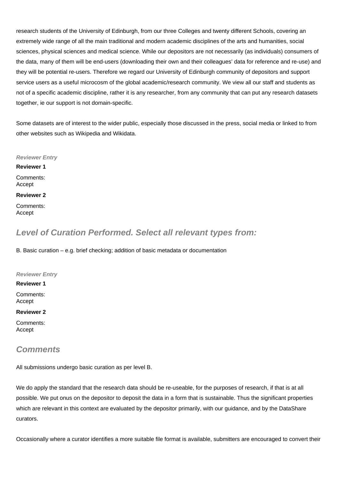research students of the University of Edinburgh, from our three Colleges and twenty different Schools, covering an extremely wide range of all the main traditional and modern academic disciplines of the arts and humanities, social sciences, physical sciences and medical science. While our depositors are not necessarily (as individuals) consumers of the data, many of them will be end-users (downloading their own and their colleagues' data for reference and re-use) and they will be potential re-users. Therefore we regard our University of Edinburgh community of depositors and support service users as a useful microcosm of the global academic/research community. We view all our staff and students as not of a specific academic discipline, rather it is any researcher, from any community that can put any research datasets together, ie our support is not domain-specific.

Some datasets are of interest to the wider public, especially those discussed in the press, social media or linked to from other websites such as Wikipedia and Wikidata.

**Reviewer Entry**

**Reviewer 1** Comments: Accept

**Reviewer 2**

Comments: Accept

## **Level of Curation Performed. Select all relevant types from:**

B. Basic curation – e.g. brief checking; addition of basic metadata or documentation

**Reviewer Entry**

**Reviewer 1**

Comments: Accept

**Reviewer 2**

Comments: Accept

### **Comments**

All submissions undergo basic curation as per level B.

We do apply the standard that the research data should be re-useable, for the purposes of research, if that is at all possible. We put onus on the depositor to deposit the data in a form that is sustainable. Thus the significant properties which are relevant in this context are evaluated by the depositor primarily, with our guidance, and by the DataShare curators.

Occasionally where a curator identifies a more suitable file format is available, submitters are encouraged to convert their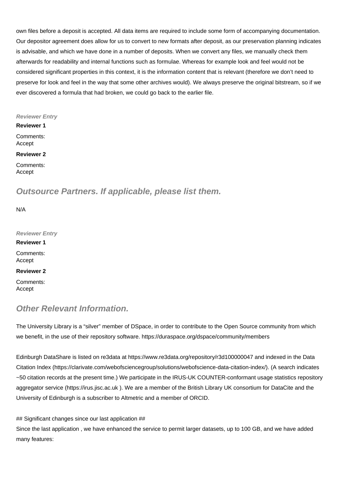own files before a deposit is accepted. All data items are required to include some form of accompanying documentation. Our depositor agreement does allow for us to convert to new formats after deposit, as our preservation planning indicates is advisable, and which we have done in a number of deposits. When we convert any files, we manually check them afterwards for readability and internal functions such as formulae. Whereas for example look and feel would not be considered significant properties in this context, it is the information content that is relevant (therefore we don't need to preserve for look and feel in the way that some other archives would). We always preserve the original bitstream, so if we ever discovered a formula that had broken, we could go back to the earlier file.

#### **Reviewer Entry**

**Reviewer 1**

Comments: Accept

#### **Reviewer 2**

Comments: Accept

### **Outsource Partners. If applicable, please list them.**

N/A

**Reviewer Entry Reviewer 1** Comments: Accept **Reviewer 2**

Comments: Accept

### **Other Relevant Information.**

The University Library is a "silver" member of DSpace, in order to contribute to the Open Source community from which we benefit, in the use of their repository software.<https://duraspace.org/dspace/community/members>

Edinburgh DataShare is listed on re3data at<https://www.re3data.org/repository/r3d100000047>and indexed in the Data Citation Index ([https://clarivate.com/webofsciencegroup/solutions/webofscience-data-citation-index/\)](https://clarivate.com/webofsciencegroup/solutions/webofscience-data-citation-index/). (A search indicates ~50 citation records at the present time.) We participate in the IRUS-UK COUNTER-conformant usage statistics repository aggregator service [\(https://irus.jisc.ac.uk](https://irus.jisc.ac.uk) ). We are a member of the British Library UK consortium for DataCite and the University of Edinburgh is a subscriber to Altmetric and a member of ORCID.

## Significant changes since our last application ##

Since the last application , we have enhanced the service to permit larger datasets, up to 100 GB, and we have added many features: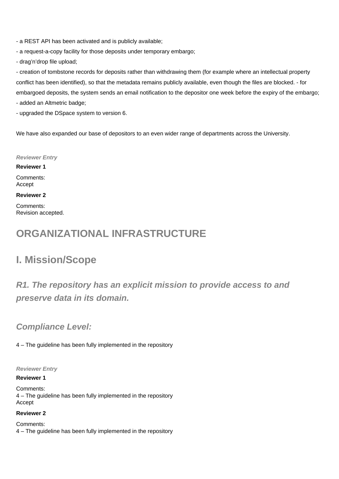- a REST API has been activated and is publicly available;
- a request-a-copy facility for those deposits under temporary embargo;
- drag'n'drop file upload;

- creation of tombstone records for deposits rather than withdrawing them (for example where an intellectual property conflict has been identified), so that the metadata remains publicly available, even though the files are blocked. - for embargoed deposits, the system sends an email notification to the depositor one week before the expiry of the embargo;

- added an Altmetric badge;

- upgraded the DSpace system to version 6.

We have also expanded our base of depositors to an even wider range of departments across the University.

#### **Reviewer Entry**

**Reviewer 1** Comments:

Accept

#### **Reviewer 2**

Comments: Revision accepted.

## **ORGANIZATIONAL INFRASTRUCTURE**

## **I. Mission/Scope**

## **R1. The repository has an explicit mission to provide access to and preserve data in its domain.**

## **Compliance Level:**

4 – The guideline has been fully implemented in the repository

**Reviewer Entry**

#### **Reviewer 1**

Comments: 4 – The guideline has been fully implemented in the repository Accept

#### **Reviewer 2**

Comments: 4 – The guideline has been fully implemented in the repository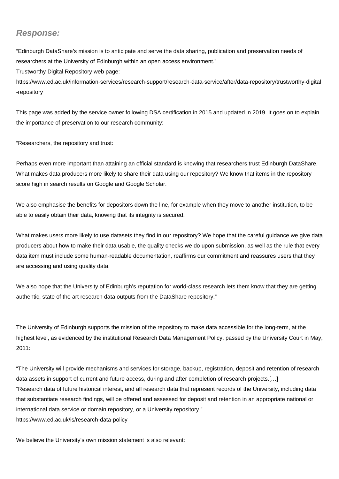### **Response:**

"Edinburgh DataShare's mission is to anticipate and serve the data sharing, publication and preservation needs of researchers at the University of Edinburgh within an open access environment."

Trustworthy Digital Repository web page:

[https://www.ed.ac.uk/information-services/research-support/research-data-service/after/data-repository/trustworthy-digital](https://www.ed.ac.uk/information-services/research-support/research-data-service/after/data-repository/trustworthy-digital-repository) [-repository](https://www.ed.ac.uk/information-services/research-support/research-data-service/after/data-repository/trustworthy-digital-repository)

This page was added by the service owner following DSA certification in 2015 and updated in 2019. It goes on to explain the importance of preservation to our research community:

"Researchers, the repository and trust:

Perhaps even more important than attaining an official standard is knowing that researchers trust Edinburgh DataShare. What makes data producers more likely to share their data using our repository? We know that items in the repository score high in search results on Google and Google Scholar.

We also emphasise the benefits for depositors down the line, for example when they move to another institution, to be able to easily obtain their data, knowing that its integrity is secured.

What makes users more likely to use datasets they find in our repository? We hope that the careful guidance we give data producers about how to make their data usable, the quality checks we do upon submission, as well as the rule that every data item must include some human-readable documentation, reaffirms our commitment and reassures users that they are accessing and using quality data.

We also hope that the University of Edinburgh's reputation for world-class research lets them know that they are getting authentic, state of the art research data outputs from the DataShare repository."

The University of Edinburgh supports the mission of the repository to make data accessible for the long-term, at the highest level, as evidenced by the institutional Research Data Management Policy, passed by the University Court in May, 2011:

"The University will provide mechanisms and services for storage, backup, registration, deposit and retention of research data assets in support of current and future access, during and after completion of research projects.[…] "Research data of future historical interest, and all research data that represent records of the University, including data that substantiate research findings, will be offered and assessed for deposit and retention in an appropriate national or international data service or domain repository, or a University repository." <https://www.ed.ac.uk/is/research-data-policy>

We believe the University's own mission statement is also relevant: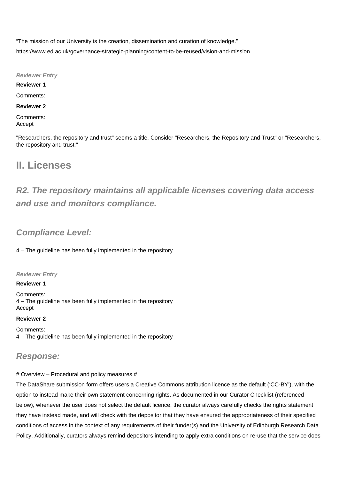"The mission of our University is the creation, dissemination and curation of knowledge." <https://www.ed.ac.uk/governance-strategic-planning/content-to-be-reused/vision-and-mission>

**Reviewer Entry**

**Reviewer 1**

Comments:

#### **Reviewer 2**

Comments: Accept

"Researchers, the repository and trust" seems a title. Consider "Researchers, the Repository and Trust" or "Researchers, the repository and trust:"

## **II. Licenses**

**R2. The repository maintains all applicable licenses covering data access and use and monitors compliance.**

## **Compliance Level:**

4 – The guideline has been fully implemented in the repository

**Reviewer Entry**

**Reviewer 1**

Comments: 4 – The guideline has been fully implemented in the repository Accept

#### **Reviewer 2**

Comments: 4 – The guideline has been fully implemented in the repository

### **Response:**

#### # Overview – Procedural and policy measures #

The DataShare submission form offers users a Creative Commons attribution licence as the default ('CC-BY'), with the option to instead make their own statement concerning rights. As documented in our Curator Checklist (referenced below), whenever the user does not select the default licence, the curator always carefully checks the rights statement they have instead made, and will check with the depositor that they have ensured the appropriateness of their specified conditions of access in the context of any requirements of their funder(s) and the University of Edinburgh Research Data Policy. Additionally, curators always remind depositors intending to apply extra conditions on re-use that the service does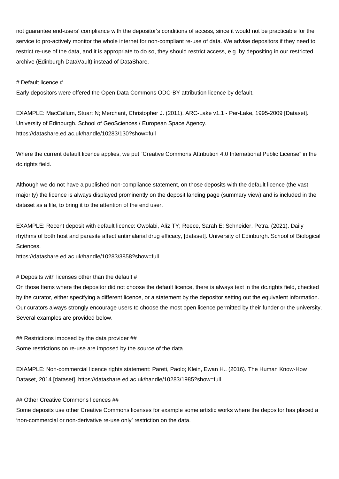not guarantee end-users' compliance with the depositor's conditions of access, since it would not be practicable for the service to pro-actively monitor the whole internet for non-compliant re-use of data. We advise depositors if they need to restrict re-use of the data, and it is appropriate to do so, they should restrict access, e.g. by depositing in our restricted archive (Edinburgh DataVault) instead of DataShare.

#### # Default licence #

Early depositors were offered the Open Data Commons ODC-BY attribution licence by default.

EXAMPLE: MacCallum, Stuart N; Merchant, Christopher J. (2011). ARC-Lake v1.1 - Per-Lake, 1995-2009 [Dataset]. University of Edinburgh. School of GeoSciences / European Space Agency. <https://datashare.ed.ac.uk/handle/10283/130?show=full>

Where the current default licence applies, we put "Creative Commons Attribution 4.0 International Public License" in the dc.rights field.

Although we do not have a published non-compliance statement, on those deposits with the default licence (the vast majority) the licence is always displayed prominently on the deposit landing page (summary view) and is included in the dataset as a file, to bring it to the attention of the end user.

EXAMPLE: Recent deposit with default licence: Owolabi, Alíz TY; Reece, Sarah E; Schneider, Petra. (2021). Daily rhythms of both host and parasite affect antimalarial drug efficacy, [dataset]. University of Edinburgh. School of Biological Sciences.

<https://datashare.ed.ac.uk/handle/10283/3858?show=full>

# Deposits with licenses other than the default #

On those Items where the depositor did not choose the default licence, there is always text in the dc.rights field, checked by the curator, either specifying a different licence, or a statement by the depositor setting out the equivalent information. Our curators always strongly encourage users to choose the most open licence permitted by their funder or the university. Several examples are provided below.

## Restrictions imposed by the data provider ## Some restrictions on re-use are imposed by the source of the data.

EXAMPLE: Non-commercial licence rights statement: Pareti, Paolo; Klein, Ewan H.. (2016). The Human Know-How Dataset, 2014 [dataset].<https://datashare.ed.ac.uk/handle/10283/1985?show=full>

#### ## Other Creative Commons licences ##

Some deposits use other Creative Commons licenses for example some artistic works where the depositor has placed a 'non-commercial or non-derivative re-use only' restriction on the data.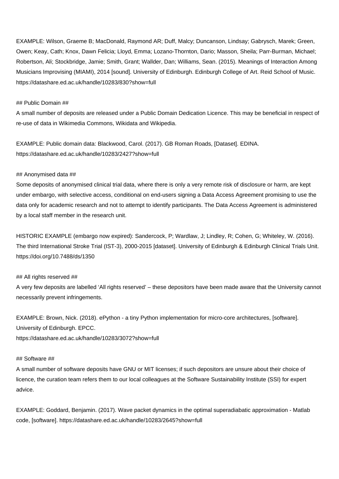EXAMPLE: Wilson, Graeme B; MacDonald, Raymond AR; Duff, Malcy; Duncanson, Lindsay; Gabrysch, Marek; Green, Owen; Keay, Cath; Knox, Dawn Felicia; Lloyd, Emma; Lozano-Thornton, Dario; Masson, Sheila; Parr-Burman, Michael; Robertson, Ali; Stockbridge, Jamie; Smith, Grant; Wallder, Dan; Williams, Sean. (2015). Meanings of Interaction Among Musicians Improvising (MIAMI), 2014 [sound]. University of Edinburgh. Edinburgh College of Art. Reid School of Music. <https://datashare.ed.ac.uk/handle/10283/830?show=full>

#### ## Public Domain ##

A small number of deposits are released under a Public Domain Dedication Licence. This may be beneficial in respect of re-use of data in Wikimedia Commons, Wikidata and Wikipedia.

EXAMPLE: Public domain data: Blackwood, Carol. (2017). GB Roman Roads, [Dataset]. EDINA. <https://datashare.ed.ac.uk/handle/10283/2427?show=full>

#### ## Anonymised data ##

Some deposits of anonymised clinical trial data, where there is only a very remote risk of disclosure or harm, are kept under embargo, with selective access, conditional on end-users signing a Data Access Agreement promising to use the data only for academic research and not to attempt to identify participants. The Data Access Agreement is administered by a local staff member in the research unit.

HISTORIC EXAMPLE (embargo now expired): Sandercock, P; Wardlaw, J; Lindley, R; Cohen, G; Whiteley, W. (2016). The third International Stroke Trial (IST-3), 2000-2015 [dataset]. University of Edinburgh & Edinburgh Clinical Trials Unit. <https://doi.org/10.7488/ds/1350>

#### ## All rights reserved ##

A very few deposits are labelled 'All rights reserved' – these depositors have been made aware that the University cannot necessarily prevent infringements.

EXAMPLE: Brown, Nick. (2018). ePython - a tiny Python implementation for micro-core architectures, [software]. University of Edinburgh. EPCC. <https://datashare.ed.ac.uk/handle/10283/3072?show=full>

#### ## Software ##

A small number of software deposits have GNU or MIT licenses; if such depositors are unsure about their choice of licence, the curation team refers them to our local colleagues at the Software Sustainability Institute (SSI) for expert advice.

EXAMPLE: Goddard, Benjamin. (2017). Wave packet dynamics in the optimal superadiabatic approximation - Matlab code, [software].<https://datashare.ed.ac.uk/handle/10283/2645?show=full>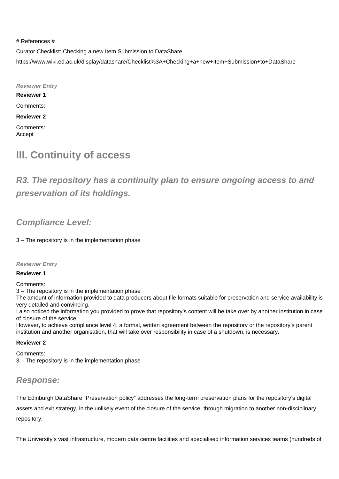# References # Curator Checklist: Checking a new Item Submission to DataShare <https://www.wiki.ed.ac.uk/display/datashare/Checklist%3A+Checking+a+new+Item+Submission+to+DataShare>

**Reviewer Entry Reviewer 1** Comments: **Reviewer 2** Comments: Accept

## **III. Continuity of access**

**R3. The repository has a continuity plan to ensure ongoing access to and preservation of its holdings.**

## **Compliance Level:**

3 – The repository is in the implementation phase

**Reviewer Entry**

#### **Reviewer 1**

Comments:

3 – The repository is in the implementation phase

The amount of information provided to data producers about file formats suitable for preservation and service availability is very detailed and convincing.

I also noticed the information you provided to prove that repository's content will be take over by another institution in case of closure of the service.

However, to achieve compliance level 4, a formal, written agreement between the repository or the repository's parent institution and another organisation, that will take over responsibility in case of a shutdown, is necessary.

#### **Reviewer 2**

Comments: 3 – The repository is in the implementation phase

### **Response:**

The Edinburgh DataShare "Preservation policy" addresses the long-term preservation plans for the repository's digital assets and exit strategy, in the unlikely event of the closure of the service, through migration to another non-disciplinary repository.

The University's vast infrastructure, modern data centre facilities and specialised information services teams (hundreds of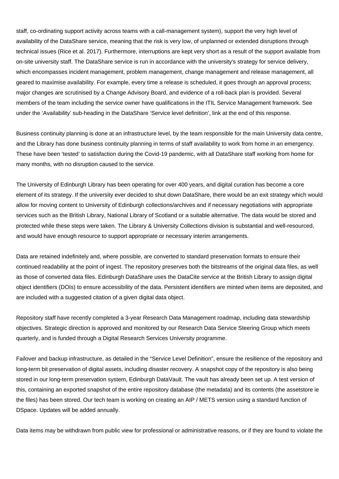staff, co-ordinating support activity across teams with a call-management system), support the very high level of availability of the DataShare service, meaning that the risk is very low, of unplanned or extended disruptions through technical issues (Rice et al. 2017). Furthermore, interruptions are kept very short as a result of the support available from on-site university staff. The DataShare service is run in accordance with the university's strategy for service delivery, which encompasses incident management, problem management, change management and release management, all geared to maximise availability. For example, every time a release is scheduled, it goes through an approval process; major changes are scrutinised by a Change Advisory Board, and evidence of a roll-back plan is provided. Several members of the team including the service owner have qualifications in the ITIL Service Management framework. See under the 'Availability' sub-heading in the DataShare 'Service level definition', link at the end of this response.

Business continuity planning is done at an infrastructure level, by the team responsible for the main University data centre, and the Library has done business continuity planning in terms of staff availability to work from home in an emergency. These have been 'tested' to satisfaction during the Covid-19 pandemic, with all DataShare staff working from home for many months, with no disruption caused to the service.

The University of Edinburgh Library has been operating for over 400 years, and digital curation has become a core element of its strategy. If the university ever decided to shut down DataShare, there would be an exit strategy which would allow for moving content to University of Edinburgh collections/archives and if necessary negotiations with appropriate services such as the British Library, National Library of Scotland or a suitable alternative. The data would be stored and protected while these steps were taken. The Library & University Collections division is substantial and well-resourced, and would have enough resource to support appropriate or necessary interim arrangements.

Data are retained indefinitely and, where possible, are converted to standard preservation formats to ensure their continued readability at the point of ingest. The repository preserves both the bitstreams of the original data files, as well as those of converted data files. Edinburgh DataShare uses the DataCite service at the British Library to assign digital object identifiers (DOIs) to ensure accessibility of the data. Persistent identifiers are minted when items are deposited, and are included with a suggested citation of a given digital data object.

Repository staff have recently completed a 3-year Research Data Management roadmap, including data stewardship objectives. Strategic direction is approved and monitored by our Research Data Service Steering Group which meets quarterly, and is funded through a Digital Research Services University programme.

Failover and backup infrastructure, as detailed in the "Service Level Definition", ensure the resilience of the repository and long-term bit preservation of digital assets, including disaster recovery. A snapshot copy of the repository is also being stored in our long-term preservation system, Edinburgh DataVault. The vault has already been set up. A test version of this, containing an exported snapshot of the entire repository database (the metadata) and its contents (the assetstore ie the files) has been stored. Our tech team is working on creating an AIP / METS version using a standard function of DSpace. Updates will be added annually.

Data items may be withdrawn from public view for professional or administrative reasons, or if they are found to violate the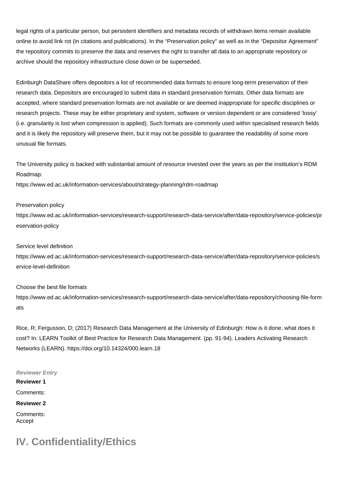legal rights of a particular person, but persistent identifiers and metadata records of withdrawn items remain available online to avoid link rot (in citations and publications). In the "Preservation policy" as well as in the "Depositor Agreement" the repository commits to preserve the data and reserves the right to transfer all data to an appropriate repository or archive should the repository infrastructure close down or be superseded.

Edinburgh DataShare offers depositors a list of recommended data formats to ensure long-term preservation of their research data. Depositors are encouraged to submit data in standard preservation formats. Other data formats are accepted, where standard preservation formats are not available or are deemed inappropriate for specific disciplines or research projects. These may be either proprietary and system, software or version dependent or are considered 'lossy' (i.e. granularity is lost when compression is applied). Such formats are commonly used within specialised research fields and it is likely the repository will preserve them, but it may not be possible to guarantee the readability of some more unusual file formats.

The University policy is backed with substantial amount of resource invested over the years as per the institution's RDM Roadmap:

<https://www.ed.ac.uk/information-services/about/strategy-planning/rdm-roadmap>

#### Preservation policy

[https://www.ed.ac.uk/information-services/research-support/research-data-service/after/data-repository/service-policies/pr](https://www.ed.ac.uk/information-services/research-support/research-data-service/after/data-repository/service-policies/preservation-policy) [eservation-policy](https://www.ed.ac.uk/information-services/research-support/research-data-service/after/data-repository/service-policies/preservation-policy)

#### Service level definition

[https://www.ed.ac.uk/information-services/research-support/research-data-service/after/data-repository/service-policies/s](https://www.ed.ac.uk/information-services/research-support/research-data-service/after/data-repository/service-policies/service-level-definition) [ervice-level-definition](https://www.ed.ac.uk/information-services/research-support/research-data-service/after/data-repository/service-policies/service-level-definition)

#### Choose the best file formats

[https://www.ed.ac.uk/information-services/research-support/research-data-service/after/data-repository/choosing-file-form](https://www.ed.ac.uk/information-services/research-support/research-data-service/after/data-repository/choosing-file-formats) [ats](https://www.ed.ac.uk/information-services/research-support/research-data-service/after/data-repository/choosing-file-formats)

Rice, R; Fergusson, D; (2017) Research Data Management at the University of Edinburgh: How is it done, what does it cost? In: LEARN Toolkit of Best Practice for Research Data Management. (pp. 91-94). Leaders Activating Research Networks (LEARN).<https://doi.org/10.14324/000.learn.18>

#### **Reviewer Entry**

**Reviewer 1** Comments: **Reviewer 2** Comments: Accept

## **IV. Confidentiality/Ethics**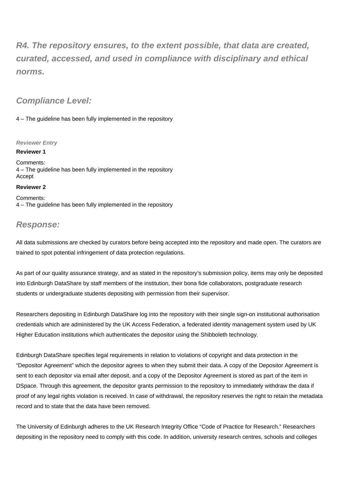**R4. The repository ensures, to the extent possible, that data are created, curated, accessed, and used in compliance with disciplinary and ethical norms.**

### **Compliance Level:**

4 – The guideline has been fully implemented in the repository

#### **Reviewer Entry**

**Reviewer 1**

Comments: 4 – The guideline has been fully implemented in the repository Accept

#### **Reviewer 2**

Comments: 4 – The guideline has been fully implemented in the repository

### **Response:**

All data submissions are checked by curators before being accepted into the repository and made open. The curators are trained to spot potential infringement of data protection regulations.

As part of our quality assurance strategy, and as stated in the repository's submission policy, items may only be deposited into Edinburgh DataShare by staff members of the institution, their bona fide collaborators, postgraduate research students or undergraduate students depositing with permission from their supervisor.

Researchers depositing in Edinburgh DataShare log into the repository with their single sign-on institutional authorisation credentials which are administered by the UK Access Federation, a federated identity management system used by UK Higher Education institutions which authenticates the depositor using the Shibboleth technology.

Edinburgh DataShare specifies legal requirements in relation to violations of copyright and data protection in the "Depositor Agreement" which the depositor agrees to when they submit their data. A copy of the Depositor Agreement is sent to each depositor via email after deposit, and a copy of the Depositor Agreement is stored as part of the item in DSpace. Through this agreement, the depositor grants permission to the repository to immediately withdraw the data if proof of any legal rights violation is received. In case of withdrawal, the repository reserves the right to retain the metadata record and to state that the data have been removed.

The University of Edinburgh adheres to the UK Research Integrity Office "Code of Practice for Research." Researchers depositing in the repository need to comply with this code. In addition, university research centres, schools and colleges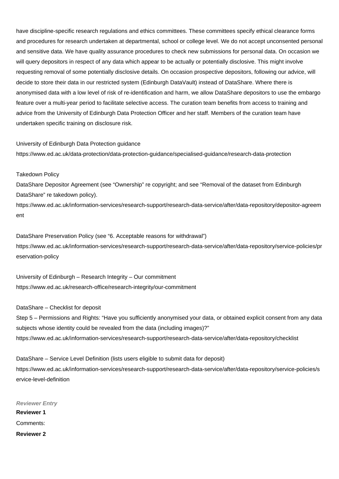have discipline-specific research regulations and ethics committees. These committees specify ethical clearance forms and procedures for research undertaken at departmental, school or college level. We do not accept unconsented personal and sensitive data. We have quality assurance procedures to check new submissions for personal data. On occasion we will query depositors in respect of any data which appear to be actually or potentially disclosive. This might involve requesting removal of some potentially disclosive details. On occasion prospective depositors, following our advice, will decide to store their data in our restricted system (Edinburgh DataVault) instead of DataShare. Where there is anonymised data with a low level of risk of re-identification and harm, we allow DataShare depositors to use the embargo feature over a multi-year period to facilitate selective access. The curation team benefits from access to training and advice from the University of Edinburgh Data Protection Officer and her staff. Members of the curation team have undertaken specific training on disclosure risk.

#### University of Edinburgh Data Protection guidance

<https://www.ed.ac.uk/data-protection/data-protection-guidance/specialised-guidance/research-data-protection>

#### Takedown Policy

DataShare Depositor Agreement (see "Ownership" re copyright; and see "Removal of the dataset from Edinburgh DataShare" re takedown policy).

[https://www.ed.ac.uk/information-services/research-support/research-data-service/after/data-repository/depositor-agreem](https://www.ed.ac.uk/information-services/research-support/research-data-service/after/data-repository/depositor-agreement) [ent](https://www.ed.ac.uk/information-services/research-support/research-data-service/after/data-repository/depositor-agreement)

DataShare Preservation Policy (see "6. Acceptable reasons for withdrawal") [https://www.ed.ac.uk/information-services/research-support/research-data-service/after/data-repository/service-policies/pr](https://www.ed.ac.uk/information-services/research-support/research-data-service/after/data-repository/service-policies/preservation-policy) [eservation-policy](https://www.ed.ac.uk/information-services/research-support/research-data-service/after/data-repository/service-policies/preservation-policy)

University of Edinburgh – Research Integrity – Our commitment <https://www.ed.ac.uk/research-office/research-integrity/our-commitment>

DataShare – Checklist for deposit

Step 5 – Permissions and Rights: "Have you sufficiently anonymised your data, or obtained explicit consent from any data subjects whose identity could be revealed from the data (including images)?" <https://www.ed.ac.uk/information-services/research-support/research-data-service/after/data-repository/checklist>

DataShare – Service Level Definition (lists users eligible to submit data for deposit) [https://www.ed.ac.uk/information-services/research-support/research-data-service/after/data-repository/service-policies/s](https://www.ed.ac.uk/information-services/research-support/research-data-service/after/data-repository/service-policies/service-level-definition) [ervice-level-definition](https://www.ed.ac.uk/information-services/research-support/research-data-service/after/data-repository/service-policies/service-level-definition)

**Reviewer Entry Reviewer 1** Comments: **Reviewer 2**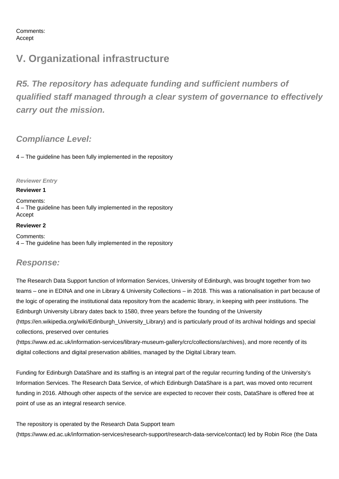Comments: Accept

## **V. Organizational infrastructure**

**R5. The repository has adequate funding and sufficient numbers of qualified staff managed through a clear system of governance to effectively carry out the mission.**

### **Compliance Level:**

4 – The guideline has been fully implemented in the repository

#### **Reviewer Entry**

#### **Reviewer 1**

Comments: 4 – The guideline has been fully implemented in the repository Accept

#### **Reviewer 2**

Comments: 4 – The guideline has been fully implemented in the repository

### **Response:**

The Research Data Support function of Information Services, University of Edinburgh, was brought together from two teams – one in EDINA and one in Library & University Collections – in 2018. This was a rationalisation in part because of the logic of operating the institutional data repository from the academic library, in keeping with peer institutions. The Edinburgh University Library dates back to 1580, three years before the founding of the University ([https://en.wikipedia.org/wiki/Edinburgh\\_University\\_Library](https://en.wikipedia.org/wiki/Edinburgh_University_Library)) and is particularly proud of its archival holdings and special collections, preserved over centuries

(<https://www.ed.ac.uk/information-services/library-museum-gallery/crc/collections/archives>), and more recently of its digital collections and digital preservation abilities, managed by the Digital Library team.

Funding for Edinburgh DataShare and its staffing is an integral part of the regular recurring funding of the University's Information Services. The Research Data Service, of which Edinburgh DataShare is a part, was moved onto recurrent funding in 2016. Although other aspects of the service are expected to recover their costs, DataShare is offered free at point of use as an integral research service.

#### The repository is operated by the Research Data Support team

(<https://www.ed.ac.uk/information-services/research-support/research-data-service/contact>) led by Robin Rice (the Data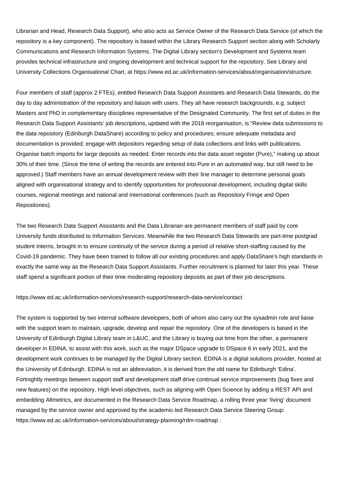Librarian and Head, Research Data Support), who also acts as Service Owner of the Research Data Service (of which the repository is a key component). The repository is based within the Library Research Support section along with Scholarly Communications and Research Information Systems. The Digital Library section's Development and Systems team provides technical infrastructure and ongoing development and technical support for the repository. See Library and University Collections Organisational Chart, at<https://www.ed.ac.uk/information-services/about/organisation/structure.>

Four members of staff (approx 2 FTEs), entitled Research Data Support Assistants and Research Data Stewards, do the day to day administration of the repository and liaison with users. They all have research backgrounds, e.g. subject Masters and PhD in complementary disciplines representative of the Designated Community. The first set of duties in the Research Data Support Assistants' job descriptions, updated with the 2018 reorganisation, is "Review data submissions to the data repository (Edinburgh DataShare) according to policy and procedures; ensure adequate metadata and documentation is provided; engage with depositors regarding setup of data collections and links with publications. Organise batch imports for large deposits as needed. Enter records into the data asset register (Pure)," making up about 30% of their time. (Since the time of writing the records are entered into Pure in an automated way, but still need to be approved.) Staff members have an annual development review with their line manager to determine personal goals aligned with organisational strategy and to identify opportunities for professional development, including digital skills courses, regional meetings and national and international conferences (such as Repository Fringe and Open Repositories).

The two Research Data Support Assistants and the Data Librarian are permanent members of staff paid by core University funds distributed to Information Services. Meanwhile the two Research Data Stewards are part-time postgrad student interns, brought in to ensure continuity of the service during a period of relative short-staffing caused by the Covid-19 pandemic. They have been trained to follow all our existing procedures and apply DataShare's high standards in exactly the same way as the Research Data Support Assistants. Further recruitment is planned for later this year. These staff spend a significant portion of their time moderating repository deposits as part of their job descriptions.

#### <https://www.ed.ac.uk/information-services/research-support/research-data-service/contact>

The system is supported by two internal software developers, both of whom also carry out the sysadmin role and liaise with the support team to maintain, upgrade, develop and repair the repository. One of the developers is based in the University of Edinburgh Digital Library team in L&UC, and the Library is buying out time from the other, a permanent developer in EDINA, to assist with this work, such as the major DSpace upgrade to DSpace 6 in early 2021, and the development work continues to be managed by the Digital Library section. EDINA is a digital solutions provider, hosted at the University of Edinburgh. EDINA is not an abbreviation, it is derived from the old name for Edinburgh 'Edina'. Fortnightly meetings between support staff and development staff drive continual service improvements (bug fixes and new features) on the repository. High level objectives, such as aligning with Open Science by adding a REST API and embedding Altmetrics, are documented in the Research Data Service Roadmap, a rolling three year 'living' document managed by the service owner and approved by the academic-led Research Data Service Steering Group: <https://www.ed.ac.uk/information-services/about/strategy-planning/rdm-roadmap>.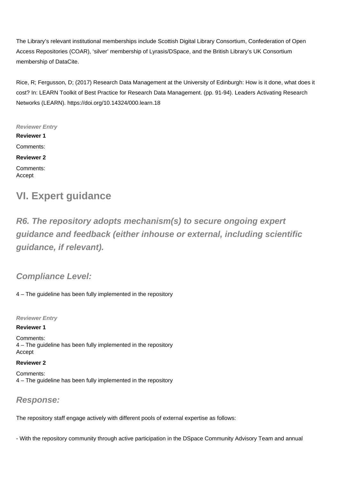The Library's relevant institutional memberships include Scottish Digital Library Consortium, Confederation of Open Access Repositories (COAR), 'silver' membership of Lyrasis/DSpace, and the British Library's UK Consortium membership of DataCite.

Rice, R; Fergusson, D; (2017) Research Data Management at the University of Edinburgh: How is it done, what does it cost? In: LEARN Toolkit of Best Practice for Research Data Management. (pp. 91-94). Leaders Activating Research Networks (LEARN).<https://doi.org/10.14324/000.learn.18>

**Reviewer Entry Reviewer 1** Comments: **Reviewer 2** Comments: Accept

## **VI. Expert guidance**

**R6. The repository adopts mechanism(s) to secure ongoing expert guidance and feedback (either inhouse or external, including scientific guidance, if relevant).**

**Compliance Level:**

4 – The guideline has been fully implemented in the repository

**Reviewer Entry**

**Reviewer 1**

Comments: 4 – The guideline has been fully implemented in the repository Accept

**Reviewer 2**

Comments: 4 – The guideline has been fully implemented in the repository

### **Response:**

The repository staff engage actively with different pools of external expertise as follows:

- With the repository community through active participation in the DSpace Community Advisory Team and annual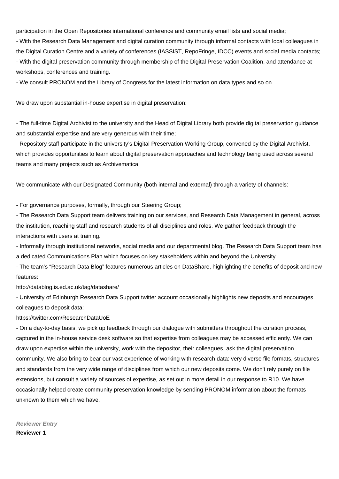participation in the Open Repositories international conference and community email lists and social media;

- With the Research Data Management and digital curation community through informal contacts with local colleagues in the Digital Curation Centre and a variety of conferences (IASSIST, RepoFringe, IDCC) events and social media contacts; - With the digital preservation community through membership of the Digital Preservation Coalition, and attendance at workshops, conferences and training.

- We consult PRONOM and the Library of Congress for the latest information on data types and so on.

We draw upon substantial in-house expertise in digital preservation:

- The full-time Digital Archivist to the university and the Head of Digital Library both provide digital preservation guidance and substantial expertise and are very generous with their time;

- Repository staff participate in the university's Digital Preservation Working Group, convened by the Digital Archivist, which provides opportunities to learn about digital preservation approaches and technology being used across several teams and many projects such as Archivematica.

We communicate with our Designated Community (both internal and external) through a variety of channels:

- For governance purposes, formally, through our Steering Group;

- The Research Data Support team delivers training on our services, and Research Data Management in general, across the institution, reaching staff and research students of all disciplines and roles. We gather feedback through the interactions with users at training.

- Informally through institutional networks, social media and our departmental blog. The Research Data Support team has a dedicated Communications Plan which focuses on key stakeholders within and beyond the University.

- The team's "Research Data Blog" features numerous articles on DataShare, highlighting the benefits of deposit and new features:

<http://datablog.is.ed.ac.uk/tag/datashare/>

- University of Edinburgh Research Data Support twitter account occasionally highlights new deposits and encourages colleagues to deposit data:

<https://twitter.com/ResearchDataUoE>

- On a day-to-day basis, we pick up feedback through our dialogue with submitters throughout the curation process, captured in the in-house service desk software so that expertise from colleagues may be accessed efficiently. We can draw upon expertise within the university, work with the depositor, their colleagues, ask the digital preservation community. We also bring to bear our vast experience of working with research data: very diverse file formats, structures and standards from the very wide range of disciplines from which our new deposits come. We don't rely purely on file extensions, but consult a variety of sources of expertise, as set out in more detail in our response to R10. We have occasionally helped create community preservation knowledge by sending PRONOM information about the formats unknown to them which we have.

**Reviewer Entry Reviewer 1**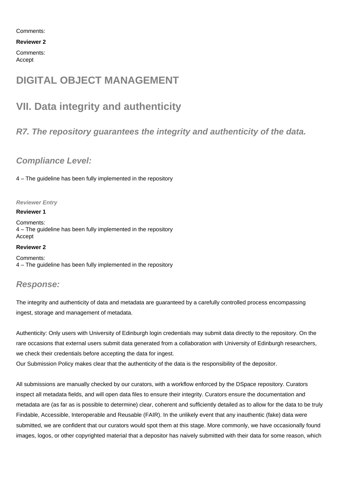Comments:

**Reviewer 2**

Comments: Accept

## **DIGITAL OBJECT MANAGEMENT**

## **VII. Data integrity and authenticity**

## **R7. The repository guarantees the integrity and authenticity of the data.**

## **Compliance Level:**

4 – The guideline has been fully implemented in the repository

#### **Reviewer Entry**

#### **Reviewer 1**

Comments: 4 – The guideline has been fully implemented in the repository Accept

#### **Reviewer 2**

Comments: 4 – The guideline has been fully implemented in the repository

### **Response:**

The integrity and authenticity of data and metadata are guaranteed by a carefully controlled process encompassing ingest, storage and management of metadata.

Authenticity: Only users with University of Edinburgh login credentials may submit data directly to the repository. On the rare occasions that external users submit data generated from a collaboration with University of Edinburgh researchers, we check their credentials before accepting the data for ingest.

Our Submission Policy makes clear that the authenticity of the data is the responsibility of the depositor.

All submissions are manually checked by our curators, with a workflow enforced by the DSpace repository. Curators inspect all metadata fields, and will open data files to ensure their integrity. Curators ensure the documentation and metadata are (as far as is possible to determine) clear, coherent and sufficiently detailed as to allow for the data to be truly Findable, Accessible, Interoperable and Reusable (FAIR). In the unlikely event that any inauthentic (fake) data were submitted, we are confident that our curators would spot them at this stage. More commonly, we have occasionally found images, logos, or other copyrighted material that a depositor has naively submitted with their data for some reason, which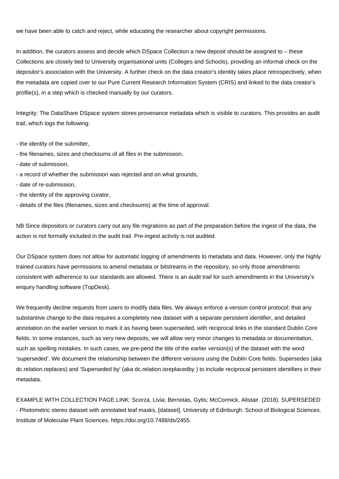we have been able to catch and reject, while educating the researcher about copyright permissions.

In addition, the curators assess and decide which DSpace Collection a new deposit should be assigned to – these Collections are closely tied to University organisational units (Colleges and Schools), providing an informal check on the depositor's association with the University. A further check on the data creator's identity takes place retrospectively, when the metadata are copied over to our Pure Current Research Information System (CRIS) and linked to the data creator's profile(s), in a step which is checked manually by our curators.

Integrity: The DataShare DSpace system stores provenance metadata which is visible to curators. This provides an audit trail, which logs the following:

- the identity of the submitter,
- the filenames, sizes and checksums of all files in the submission,
- date of submission,
- a record of whether the submission was rejected and on what grounds,
- date of re-submission,
- the identity of the approving curator,
- details of the files (filenames, sizes and checksums) at the time of approval.

NB Since depositors or curators carry out any file migrations as part of the preparation before the ingest of the data, the action is not formally included in the audit trail. Pre-ingest activity is not audited.

Our DSpace system does not allow for automatic logging of amendments to metadata and data. However, only the highly trained curators have permissions to amend metadata or bitstreams in the repository, so only those amendments consistent with adherence to our standards are allowed. There is an audit trail for such amendments in the University's enquiry handling software (TopDesk).

We frequently decline requests from users to modify data files. We always enforce a version control protocol: that any substantive change to the data requires a completely new dataset with a separate persistent identifier, and detailed annotation on the earlier version to mark it as having been superseded, with reciprocal links in the standard Dublin Core fields. In some instances, such as very new deposits, we will allow very minor changes to metadata or documentation, such as spelling mistakes. In such cases, we pre-pend the title of the earlier version(s) of the dataset with the word 'superseded'. We document the relationship between the different versions using the Dublin Core fields: Supersedes (aka dc.relation.replaces) and 'Superseded by' (aka dc.relation.isreplacedby ) to include reciprocal persistent identifiers in their metadata.

EXAMPLE WITH COLLECTION PAGE LINK: Scorza, Livia; Bernotas, Gytis; McCormick, Alistair. (2018). SUPERSEDED - Photometric stereo dataset with annotated leaf masks, [dataset]. University of Edinburgh. School of Biological Sciences. Institute of Molecular Plant Sciences.<https://doi.org/10.7488/ds/2455.>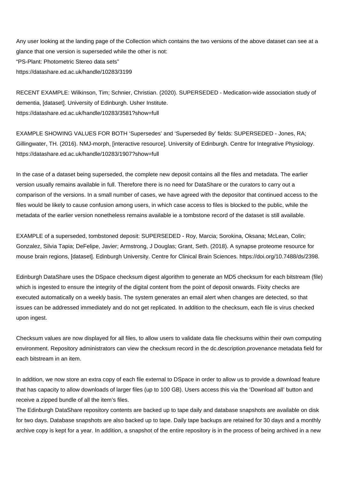Any user looking at the landing page of the Collection which contains the two versions of the above dataset can see at a glance that one version is superseded while the other is not: "PS-Plant: Photometric Stereo data sets" <https://datashare.ed.ac.uk/handle/10283/3199>

RECENT EXAMPLE: Wilkinson, Tim; Schnier, Christian. (2020). SUPERSEDED - Medication-wide association study of dementia, [dataset]. University of Edinburgh. Usher Institute. <https://datashare.ed.ac.uk/handle/10283/3581?show=full>

EXAMPLE SHOWING VALUES FOR BOTH 'Supersedes' and 'Superseded By' fields: SUPERSEDED - Jones, RA; Gillingwater, TH. (2016). NMJ-morph, [interactive resource]. University of Edinburgh. Centre for Integrative Physiology. <https://datashare.ed.ac.uk/handle/10283/1907?show=full>

In the case of a dataset being superseded, the complete new deposit contains all the files and metadata. The earlier version usually remains available in full. Therefore there is no need for DataShare or the curators to carry out a comparison of the versions. In a small number of cases, we have agreed with the depositor that continued access to the files would be likely to cause confusion among users, in which case access to files is blocked to the public, while the metadata of the earlier version nonetheless remains available ie a tombstone record of the dataset is still available.

EXAMPLE of a superseded, tombstoned deposit: SUPERSEDED - Roy, Marcia; Sorokina, Oksana; McLean, Colin; Gonzalez, Silvia Tapia; DeFelipe, Javier; Armstrong, J Douglas; Grant, Seth. (2018). A synapse proteome resource for mouse brain regions, [dataset]. Edinburgh University. Centre for Clinical Brain Sciences. <https://doi.org/10.7488/ds/2398.>

Edinburgh DataShare uses the DSpace checksum digest algorithm to generate an MD5 checksum for each bitstream (file) which is ingested to ensure the integrity of the digital content from the point of deposit onwards. Fixity checks are executed automatically on a weekly basis. The system generates an email alert when changes are detected, so that issues can be addressed immediately and do not get replicated. In addition to the checksum, each file is virus checked upon ingest.

Checksum values are now displayed for all files, to allow users to validate data file checksums within their own computing environment. Repository administrators can view the checksum record in the dc.description.provenance metadata field for each bitstream in an item.

In addition, we now store an extra copy of each file external to DSpace in order to allow us to provide a download feature that has capacity to allow downloads of larger files (up to 100 GB). Users access this via the 'Download all' button and receive a zipped bundle of all the item's files.

The Edinburgh DataShare repository contents are backed up to tape daily and database snapshots are available on disk for two days. Database snapshots are also backed up to tape. Daily tape backups are retained for 30 days and a monthly archive copy is kept for a year. In addition, a snapshot of the entire repository is in the process of being archived in a new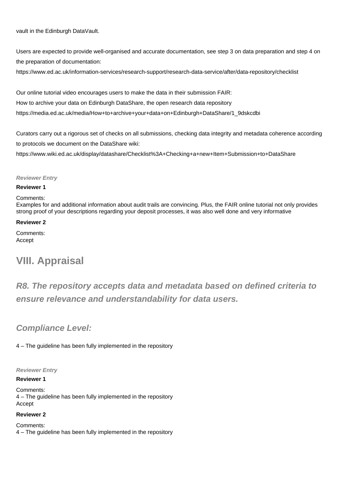vault in the Edinburgh DataVault.

Users are expected to provide well-organised and accurate documentation, see step 3 on data preparation and step 4 on the preparation of documentation:

<https://www.ed.ac.uk/information-services/research-support/research-data-service/after/data-repository/checklist>

Our online tutorial video encourages users to make the data in their submission FAIR: How to archive your data on Edinburgh DataShare, the open research data repository [https://media.ed.ac.uk/media/How+to+archive+your+data+on+Edinburgh+DataShare/1\\_9dskcdbi](https://media.ed.ac.uk/media/How+to+archive+your+data+on+Edinburgh+DataShare/1_9dskcdbi)

Curators carry out a rigorous set of checks on all submissions, checking data integrity and metadata coherence according to protocols we document on the DataShare wiki:

<https://www.wiki.ed.ac.uk/display/datashare/Checklist%3A+Checking+a+new+Item+Submission+to+DataShare>

#### **Reviewer Entry**

#### **Reviewer 1**

#### Comments:

Examples for and additional information about audit trails are convincing. Plus, the FAIR online tutorial not only provides strong proof of your descriptions regarding your deposit processes, it was also well done and very informative

#### **Reviewer 2**

Comments: Accept

## **VIII. Appraisal**

**R8. The repository accepts data and metadata based on defined criteria to ensure relevance and understandability for data users.**

### **Compliance Level:**

4 – The guideline has been fully implemented in the repository

#### **Reviewer Entry**

#### **Reviewer 1**

Comments: 4 – The guideline has been fully implemented in the repository Accept

#### **Reviewer 2**

Comments: 4 – The guideline has been fully implemented in the repository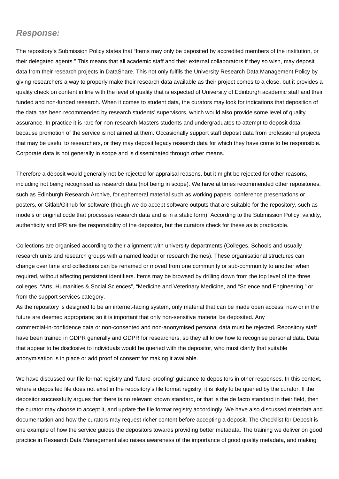### **Response:**

The repository's Submission Policy states that "Items may only be deposited by accredited members of the institution, or their delegated agents." This means that all academic staff and their external collaborators if they so wish, may deposit data from their research projects in DataShare. This not only fulfils the University Research Data Management Policy by giving researchers a way to properly make their research data available as their project comes to a close, but it provides a quality check on content in line with the level of quality that is expected of University of Edinburgh academic staff and their funded and non-funded research. When it comes to student data, the curators may look for indications that deposition of the data has been recommended by research students' supervisors, which would also provide some level of quality assurance. In practice it is rare for non-research Masters students and undergraduates to attempt to deposit data, because promotion of the service is not aimed at them. Occasionally support staff deposit data from professional projects that may be useful to researchers, or they may deposit legacy research data for which they have come to be responsible. Corporate data is not generally in scope and is disseminated through other means.

Therefore a deposit would generally not be rejected for appraisal reasons, but it might be rejected for other reasons, including not being recognised as research data (not being in scope). We have at times recommended other repositories, such as Edinburgh Research Archive, for ephemeral material such as working papers, conference presentations or posters, or Gitlab/Github for software (though we do accept software outputs that are suitable for the repository, such as models or original code that processes research data and is in a static form). According to the Submission Policy, validity, authenticity and IPR are the responsibility of the depositor, but the curators check for these as is practicable.

Collections are organised according to their alignment with university departments (Colleges, Schools and usually research units and research groups with a named leader or research themes). These organisational structures can change over time and collections can be renamed or moved from one community or sub-community to another when required, without affecting persistent identifiers. Items may be browsed by drilling down from the top level of the three colleges, "Arts, Humanities & Social Sciences", "Medicine and Veterinary Medicine, and "Science and Engineering," or from the support services category.

As the repository is designed to be an internet-facing system, only material that can be made open access, now or in the future are deemed appropriate; so it is important that only non-sensitive material be deposited. Any commercial-in-confidence data or non-consented and non-anonymised personal data must be rejected. Repository staff have been trained in GDPR generally and GDPR for researchers, so they all know how to recognise personal data. Data that appear to be disclosive to individuals would be queried with the depositor, who must clarify that suitable anonymisation is in place or add proof of consent for making it available.

We have discussed our file format registry and 'future-proofing' guidance to depositors in other responses. In this context, where a deposited file does not exist in the repository's file format registry, it is likely to be queried by the curator. If the depositor successfully argues that there is no relevant known standard, or that is the de facto standard in their field, then the curator may choose to accept it, and update the file format registry accordingly. We have also discussed metadata and documentation and how the curators may request richer content before accepting a deposit. The Checklist for Deposit is one example of how the service guides the depositors towards providing better metadata. The training we deliver on good practice in Research Data Management also raises awareness of the importance of good quality metadata, and making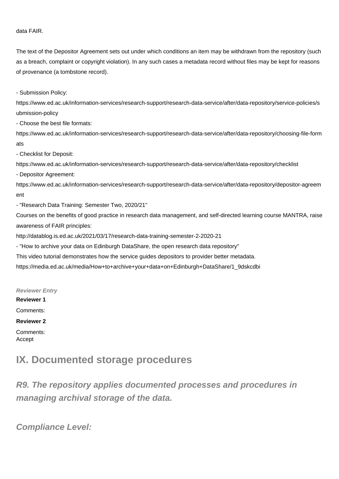#### data FAIR.

The text of the Depositor Agreement sets out under which conditions an item may be withdrawn from the repository (such as a breach, complaint or copyright violation). In any such cases a metadata record without files may be kept for reasons of provenance (a tombstone record).

- Submission Policy:

[https://www.ed.ac.uk/information-services/research-support/research-data-service/after/data-repository/service-policies/s](https://www.ed.ac.uk/information-services/research-support/research-data-service/after/data-repository/service-policies/submission-policy) [ubmission-policy](https://www.ed.ac.uk/information-services/research-support/research-data-service/after/data-repository/service-policies/submission-policy)

- Choose the best file formats:

[https://www.ed.ac.uk/information-services/research-support/research-data-service/after/data-repository/choosing-file-form](https://www.ed.ac.uk/information-services/research-support/research-data-service/after/data-repository/choosing-file-formats) [ats](https://www.ed.ac.uk/information-services/research-support/research-data-service/after/data-repository/choosing-file-formats)

- Checklist for Deposit:

<https://www.ed.ac.uk/information-services/research-support/research-data-service/after/data-repository/checklist>

- Depositor Agreement:

[https://www.ed.ac.uk/information-services/research-support/research-data-service/after/data-repository/depositor-agreem](https://www.ed.ac.uk/information-services/research-support/research-data-service/after/data-repository/depositor-agreement) [ent](https://www.ed.ac.uk/information-services/research-support/research-data-service/after/data-repository/depositor-agreement)

- "Research Data Training: Semester Two, 2020/21"

Courses on the benefits of good practice in research data management, and self-directed learning course MANTRA, raise awareness of FAIR principles:

<http://datablog.is.ed.ac.uk/2021/03/17/research-data-training-semester-2-2020-21>

- "How to archive your data on Edinburgh DataShare, the open research data repository"

This video tutorial demonstrates how the service guides depositors to provider better metadata.

[https://media.ed.ac.uk/media/How+to+archive+your+data+on+Edinburgh+DataShare/1\\_9dskcdbi](https://media.ed.ac.uk/media/How+to+archive+your+data+on+Edinburgh+DataShare/1_9dskcdbi)

**Reviewer Entry**

**Reviewer 1** Comments: **Reviewer 2** Comments: Accept

## **IX. Documented storage procedures**

**R9. The repository applies documented processes and procedures in managing archival storage of the data.**

**Compliance Level:**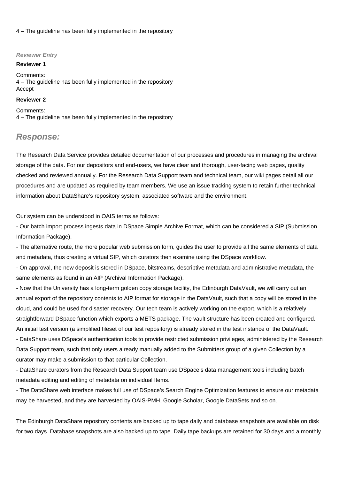4 – The guideline has been fully implemented in the repository

#### **Reviewer Entry**

#### **Reviewer 1**

Comments: 4 – The guideline has been fully implemented in the repository Accept

#### **Reviewer 2**

Comments: 4 – The guideline has been fully implemented in the repository

#### **Response:**

The Research Data Service provides detailed documentation of our processes and procedures in managing the archival storage of the data. For our depositors and end-users, we have clear and thorough, user-facing web pages, quality checked and reviewed annually. For the Research Data Support team and technical team, our wiki pages detail all our procedures and are updated as required by team members. We use an issue tracking system to retain further technical information about DataShare's repository system, associated software and the environment.

Our system can be understood in OAIS terms as follows:

- Our batch import process ingests data in DSpace Simple Archive Format, which can be considered a SIP (Submission Information Package).

- The alternative route, the more popular web submission form, guides the user to provide all the same elements of data and metadata, thus creating a virtual SIP, which curators then examine using the DSpace workflow.

- On approval, the new deposit is stored in DSpace, bitstreams, descriptive metadata and administrative metadata, the same elements as found in an AIP (Archival Information Package).

- Now that the University has a long-term golden copy storage facility, the Edinburgh DataVault, we will carry out an annual export of the repository contents to AIP format for storage in the DataVault, such that a copy will be stored in the cloud, and could be used for disaster recovery. Our tech team is actively working on the export, which is a relatively straightforward DSpace function which exports a METS package. The vault structure has been created and configured. An initial test version (a simplified fileset of our test repository) is already stored in the test instance of the DataVault. - DataShare uses DSpace's authentication tools to provide restricted submission privileges, administered by the Research

Data Support team, such that only users already manually added to the Submitters group of a given Collection by a curator may make a submission to that particular Collection.

- DataShare curators from the Research Data Support team use DSpace's data management tools including batch metadata editing and editing of metadata on individual Items.

- The DataShare web interface makes full use of DSpace's Search Engine Optimization features to ensure our metadata may be harvested, and they are harvested by OAIS-PMH, Google Scholar, Google DataSets and so on.

The Edinburgh DataShare repository contents are backed up to tape daily and database snapshots are available on disk for two days. Database snapshots are also backed up to tape. Daily tape backups are retained for 30 days and a monthly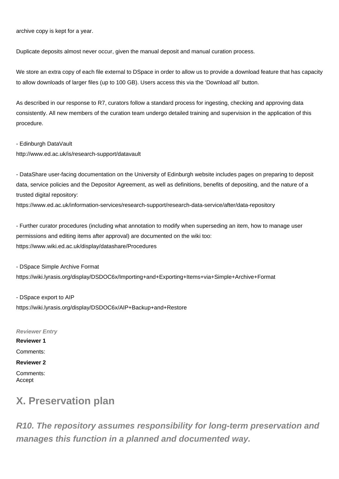archive copy is kept for a year.

Duplicate deposits almost never occur, given the manual deposit and manual curation process.

We store an extra copy of each file external to DSpace in order to allow us to provide a download feature that has capacity to allow downloads of larger files (up to 100 GB). Users access this via the 'Download all' button.

As described in our response to R7, curators follow a standard process for ingesting, checking and approving data consistently. All new members of the curation team undergo detailed training and supervision in the application of this procedure.

- Edinburgh DataVault

<http://www.ed.ac.uk/is/research-support/datavault>

- DataShare user-facing documentation on the University of Edinburgh website includes pages on preparing to deposit data, service policies and the Depositor Agreement, as well as definitions, benefits of depositing, and the nature of a trusted digital repository:

<https://www.ed.ac.uk/information-services/research-support/research-data-service/after/data-repository>

- Further curator procedures (including what annotation to modify when superseding an item, how to manage user permissions and editing items after approval) are documented on the wiki too: <https://www.wiki.ed.ac.uk/display/datashare/Procedures>

- DSpace Simple Archive Format

<https://wiki.lyrasis.org/display/DSDOC6x/Importing+and+Exporting+Items+via+Simple+Archive+Format>

- DSpace export to AIP <https://wiki.lyrasis.org/display/DSDOC6x/AIP+Backup+and+Restore>

**Reviewer Entry Reviewer 1** Comments: **Reviewer 2** Comments: Accept

## **X. Preservation plan**

**R10. The repository assumes responsibility for long-term preservation and manages this function in a planned and documented way.**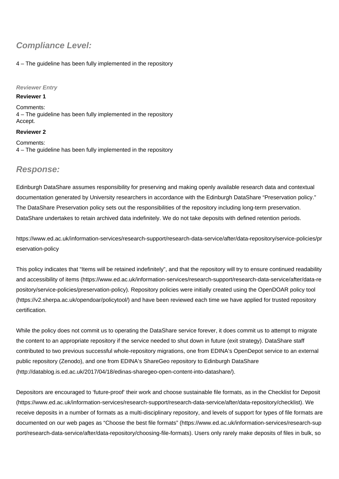## **Compliance Level:**

#### 4 – The guideline has been fully implemented in the repository

#### **Reviewer Entry**

#### **Reviewer 1**

Comments: 4 – The guideline has been fully implemented in the repository Accept.

#### **Reviewer 2**

Comments: 4 – The guideline has been fully implemented in the repository

### **Response:**

Edinburgh DataShare assumes responsibility for preserving and making openly available research data and contextual documentation generated by University researchers in accordance with the Edinburgh DataShare "Preservation policy." The DataShare Preservation policy sets out the responsibilities of the repository including long-term preservation. DataShare undertakes to retain archived data indefinitely. We do not take deposits with defined retention periods.

[https://www.ed.ac.uk/information-services/research-support/research-data-service/after/data-repository/service-policies/pr](https://www.ed.ac.uk/information-services/research-support/research-data-service/after/data-repository/service-policies/preservation-policy) [eservation-policy](https://www.ed.ac.uk/information-services/research-support/research-data-service/after/data-repository/service-policies/preservation-policy)

This policy indicates that "Items will be retained indefinitely", and that the repository will try to ensure continued readability and accessibility of items [\(https://www.ed.ac.uk/information-services/research-support/research-data-service/after/data-re](https://www.ed.ac.uk/information-services/research-support/research-data-service/after/data-re) pository/service-policies/preservation-policy). Repository policies were initially created using the OpenDOAR policy tool ([https://v2.sherpa.ac.uk/opendoar/policytool/\)](https://v2.sherpa.ac.uk/opendoar/policytool/) and have been reviewed each time we have applied for trusted repository certification.

While the policy does not commit us to operating the DataShare service forever, it does commit us to attempt to migrate the content to an appropriate repository if the service needed to shut down in future (exit strategy). DataShare staff contributed to two previous successful whole-repository migrations, one from EDINA's OpenDepot service to an external public repository (Zenodo), and one from EDINA's ShareGeo repository to Edinburgh DataShare (<http://datablog.is.ed.ac.uk/2017/04/18/edinas-sharegeo-open-content-into-datashare/>).

Depositors are encouraged to 'future-proof' their work and choose sustainable file formats, as in the Checklist for Deposit (<https://www.ed.ac.uk/information-services/research-support/research-data-service/after/data-repository/checklist>). We receive deposits in a number of formats as a multi-disciplinary repository, and levels of support for types of file formats are documented on our web pages as "Choose the best file formats" [\(https://www.ed.ac.uk/information-services/research-sup](https://www.ed.ac.uk/information-services/research-sup) port/research-data-service/after/data-repository/choosing-file-formats). Users only rarely make deposits of files in bulk, so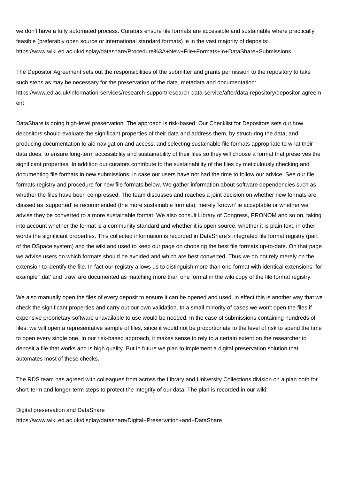we don't have a fully automated process. Curators ensure file formats are accessible and sustainable where practically feasible (preferably open source or international standard formats) ie in the vast majority of deposits: <https://www.wiki.ed.ac.uk/display/datashare/Procedure%3A+New+File+Formats+in+DataShare+Submissions>

The Depositor Agreement sets out the responsibilities of the submitter and grants permission to the repository to take such steps as may be necessary for the preservation of the data, metadata and documentation: [https://www.ed.ac.uk/information-services/research-support/research-data-service/after/data-repository/depositor-agreem](https://www.ed.ac.uk/information-services/research-support/research-data-service/after/data-repository/depositor-agreement) [ent](https://www.ed.ac.uk/information-services/research-support/research-data-service/after/data-repository/depositor-agreement)

DataShare is doing high-level preservation. The approach is risk-based. Our Checklist for Depositors sets out how depositors should evaluate the significant properties of their data and address them, by structuring the data, and producing documentation to aid navigation and access, and selecting sustainable file formats appropriate to what their data does, to ensure long-term accessibility and sustainability of their files so they will choose a format that preserves the significant properties. In addition our curators contribute to the sustainability of the files by meticulously checking and documenting file formats in new submissions, in case our users have not had the time to follow our advice. See our file formats registry and procedure for new file formats below. We gather information about software dependencies such as whether the files have been compressed. The team discusses and reaches a joint decision on whether new formats are classed as 'supported' ie recommended (the more sustainable formats), merely 'known' ie acceptable or whether we advise they be converted to a more sustainable format. We also consult Library of Congress, PRONOM and so on, taking into account whether the format is a community standard and whether it is open source, whether it is plain text, in other words the significant properties. This collected information is recorded in DataShare's integrated file format registry (part of the DSpace system) and the wiki and used to keep our page on choosing the best file formats up-to-date. On that page we advise users on which formats should be avoided and which are best converted. Thus we do not rely merely on the extension to identify the file. In fact our registry allows us to distinguish more than one format with identical extensions, for example '.dat' and '.raw' are documented as matching more than one format in the wiki copy of the file format registry.

We also manually open the files of every deposit to ensure it can be opened and used, in effect this is another way that we check the significant properties and carry out our own validation. In a small minority of cases we won't open the files if expensive proprietary software unavailable to use would be needed. In the case of submissions containing hundreds of files, we will open a representative sample of files, since it would not be proportionate to the level of risk to spend the time to open every single one. In our risk-based approach, it makes sense to rely to a certain extent on the researcher to deposit a file that works and is high quality. But in future we plan to implement a digital preservation solution that automates most of these checks.

The RDS team has agreed with colleagues from across the Library and University Collections division on a plan both for short-term and longer-term steps to protect the integrity of our data. The plan is recorded in our wiki:

Digital preservation and DataShare

<https://www.wiki.ed.ac.uk/display/datashare/Digital+Preservation+and+DataShare>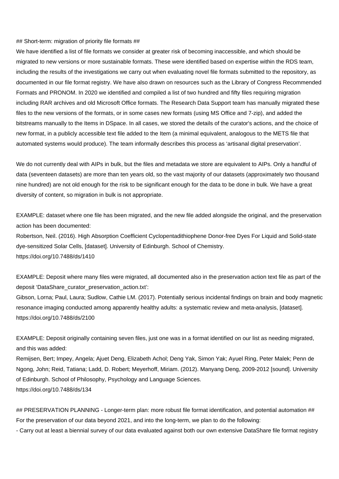#### ## Short-term: migration of priority file formats ##

We have identified a list of file formats we consider at greater risk of becoming inaccessible, and which should be migrated to new versions or more sustainable formats. These were identified based on expertise within the RDS team, including the results of the investigations we carry out when evaluating novel file formats submitted to the repository, as documented in our file format registry. We have also drawn on resources such as the Library of Congress Recommended Formats and PRONOM. In 2020 we identified and compiled a list of two hundred and fifty files requiring migration including RAR archives and old Microsoft Office formats. The Research Data Support team has manually migrated these files to the new versions of the formats, or in some cases new formats (using MS Office and 7-zip), and added the bitstreams manually to the Items in DSpace. In all cases, we stored the details of the curator's actions, and the choice of new format, in a publicly accessible text file added to the Item (a minimal equivalent, analogous to the METS file that automated systems would produce). The team informally describes this process as 'artisanal digital preservation'.

We do not currently deal with AIPs in bulk, but the files and metadata we store are equivalent to AIPs. Only a handful of data (seventeen datasets) are more than ten years old, so the vast majority of our datasets (approximately two thousand nine hundred) are not old enough for the risk to be significant enough for the data to be done in bulk. We have a great diversity of content, so migration in bulk is not appropriate.

EXAMPLE: dataset where one file has been migrated, and the new file added alongside the original, and the preservation action has been documented:

Robertson, Neil. (2016). High Absorption Coefficient Cyclopentadithiophene Donor-free Dyes For Liquid and Solid-state dye-sensitized Solar Cells, [dataset]. University of Edinburgh. School of Chemistry. <https://doi.org/10.7488/ds/1410>

EXAMPLE: Deposit where many files were migrated, all documented also in the preservation action text file as part of the deposit 'DataShare\_curator\_preservation\_action.txt':

Gibson, Lorna; Paul, Laura; Sudlow, Cathie LM. (2017). Potentially serious incidental findings on brain and body magnetic resonance imaging conducted among apparently healthy adults: a systematic review and meta-analysis, [dataset]. <https://doi.org/10.7488/ds/2100>

EXAMPLE: Deposit originally containing seven files, just one was in a format identified on our list as needing migrated, and this was added:

Remijsen, Bert; Impey, Angela; Ajuet Deng, Elizabeth Achol; Deng Yak, Simon Yak; Ayuel Ring, Peter Malek; Penn de Ngong, John; Reid, Tatiana; Ladd, D. Robert; Meyerhoff, Miriam. (2012). Manyang Deng, 2009-2012 [sound]. University of Edinburgh. School of Philosophy, Psychology and Language Sciences. <https://doi.org/10.7488/ds/134>

## PRESERVATION PLANNING - Longer-term plan: more robust file format identification, and potential automation ## For the preservation of our data beyond 2021, and into the long-term, we plan to do the following:

- Carry out at least a biennial survey of our data evaluated against both our own extensive DataShare file format registry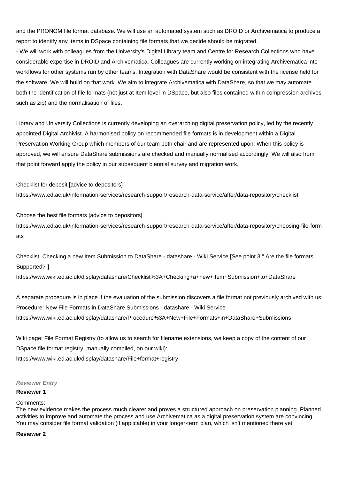and the PRONOM file format database. We will use an automated system such as DROID or Archivematica to produce a report to identify any Items in DSpace containing file formats that we decide should be migrated.

- We will work with colleagues from the University's Digital Library team and Centre for Research Collections who have considerable expertise in DROID and Archivematica. Colleagues are currently working on integrating Archivematica into workflows for other systems run by other teams. Integration with DataShare would be consistent with the license held for the software. We will build on that work. We aim to integrate Archivematica with DataShare, so that we may automate both the identification of file formats (not just at Item level in DSpace, but also files contained within compression archives such as zip) and the normalisation of files.

Library and University Collections is currently developing an overarching digital preservation policy, led by the recently appointed Digital Archivist. A harmonised policy on recommended file formats is in development within a Digital Preservation Working Group which members of our team both chair and are represented upon. When this policy is approved, we will ensure DataShare submissions are checked and manually normalised accordingly. We will also from that point forward apply the policy in our subsequent biennial survey and migration work.

Checklist for deposit [advice to depositors] <https://www.ed.ac.uk/information-services/research-support/research-data-service/after/data-repository/checklist>

Choose the best file formats [advice to depositors] [https://www.ed.ac.uk/information-services/research-support/research-data-service/after/data-repository/choosing-file-form](https://www.ed.ac.uk/information-services/research-support/research-data-service/after/data-repository/choosing-file-formats) [ats](https://www.ed.ac.uk/information-services/research-support/research-data-service/after/data-repository/choosing-file-formats)

Checklist: Checking a new Item Submission to DataShare - datashare - Wiki Service [See point 3 " Are the file formats Supported?"]

<https://www.wiki.ed.ac.uk/display/datashare/Checklist%3A+Checking+a+new+Item+Submission+to+DataShare>

A separate procedure is in place if the evaluation of the submission discovers a file format not previously archived with us: Procedure: New File Formats in DataShare Submissions - datashare - Wiki Service <https://www.wiki.ed.ac.uk/display/datashare/Procedure%3A+New+File+Formats+in+DataShare+Submissions>

Wiki page: File Format Registry (to allow us to search for filename extensions, we keep a copy of the content of our DSpace file format registry, manually compiled, on our wiki): <https://www.wiki.ed.ac.uk/display/datashare/File+format+registry>

#### **Reviewer Entry**

#### **Reviewer 1**

#### Comments:

The new evidence makes the process much clearer and proves a structured approach on preservation planning. Planned activities to improve and automate the process and use Archivematica as a digital preservation system are convincing. You may consider file format validation (if applicable) in your longer-term plan, which isn't mentioned there yet.

#### **Reviewer 2**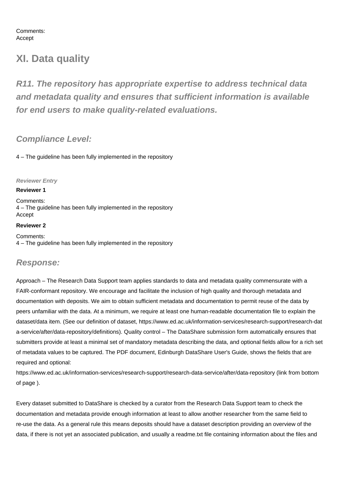Comments: Accept

## **XI. Data quality**

**R11. The repository has appropriate expertise to address technical data and metadata quality and ensures that sufficient information is available for end users to make quality-related evaluations.**

## **Compliance Level:**

4 – The guideline has been fully implemented in the repository

#### **Reviewer Entry**

#### **Reviewer 1**

Comments: 4 – The guideline has been fully implemented in the repository Accept

#### **Reviewer 2**

Comments: 4 – The guideline has been fully implemented in the repository

### **Response:**

Approach – The Research Data Support team applies standards to data and metadata quality commensurate with a FAIR-conformant repository. We encourage and facilitate the inclusion of high quality and thorough metadata and documentation with deposits. We aim to obtain sufficient metadata and documentation to permit reuse of the data by peers unfamiliar with the data. At a minimum, we require at least one human-readable documentation file to explain the dataset/data item. (See our definition of dataset,<https://www.ed.ac.uk/information-services/research-support/research-dat> a-service/after/data-repository/definitions). Quality control – The DataShare submission form automatically ensures that submitters provide at least a minimal set of mandatory metadata describing the data, and optional fields allow for a rich set of metadata values to be captured. The PDF document, Edinburgh DataShare User's Guide, shows the fields that are required and optional:

<https://www.ed.ac.uk/information-services/research-support/research-data-service/after/data-repository>(link from bottom of page ).

Every dataset submitted to DataShare is checked by a curator from the Research Data Support team to check the documentation and metadata provide enough information at least to allow another researcher from the same field to re-use the data. As a general rule this means deposits should have a dataset description providing an overview of the data, if there is not yet an associated publication, and usually a readme.txt file containing information about the files and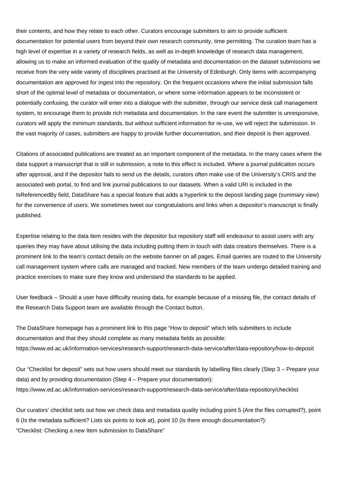their contents, and how they relate to each other. Curators encourage submitters to aim to provide sufficient documentation for potential users from beyond their own research community, time permitting. The curation team has a high level of expertise in a variety of research fields, as well as in-depth knowledge of research data management, allowing us to make an informed evaluation of the quality of metadata and documentation on the dataset submissions we receive from the very wide variety of disciplines practised at the University of Edinburgh. Only items with accompanying documentation are approved for ingest into the repository. On the frequent occasions where the initial submission falls short of the optimal level of metadata or documentation, or where some information appears to be inconsistent or potentially confusing, the curator will enter into a dialogue with the submitter, through our service desk call management system, to encourage them to provide rich metadata and documentation. In the rare event the submitter is unresponsive, curators will apply the minimum standards, but without sufficient information for re-use, we will reject the submission. In the vast majority of cases, submitters are happy to provide further documentation, and their deposit is then approved.

Citations of associated publications are treated as an important component of the metadata. In the many cases where the data support a manuscript that is still in submission, a note to this effect is included. Where a journal publication occurs after approval, and if the depositor fails to send us the details, curators often make use of the University's CRIS and the associated web portal, to find and link journal publications to our datasets. When a valid URI is included in the IsReferencedBy field, DataShare has a special feature that adds a hyperlink to the deposit landing page (summary view) for the convenience of users. We sometimes tweet our congratulations and links when a depositor's manuscript is finally published.

Expertise relating to the data item resides with the depositor but repository staff will endeavour to assist users with any queries they may have about utilising the data including putting them in touch with data creators themselves. There is a prominent link to the team's contact details on the website banner on all pages. Email queries are routed to the University call management system where calls are managed and tracked. New members of the team undergo detailed training and practice exercises to make sure they know and understand the standards to be applied.

User feedback – Should a user have difficulty reusing data, for example because of a missing file, the contact details of the Research Data Support team are available through the Contact button.

The DataShare homepage has a prominent link to this page "How to deposit" which tells submitters to include documentation and that they should complete as many metadata fields as possible: <https://www.ed.ac.uk/information-services/research-support/research-data-service/after/data-repository/how-to-deposit>

Our "Checklist for deposit" sets out how users should meet our standards by labelling files clearly (Step 3 – Prepare your data) and by providing documentation (Step 4 – Prepare your documentation): <https://www.ed.ac.uk/information-services/research-support/research-data-service/after/data-repository/checklist>

Our curators' checklist sets out how we check data and metadata quality including point 5 (Are the files corrupted?), point 6 (Is the metadata sufficient? Lists six points to look at), point 10 (Is there enough documentation?): "Checklist: Checking a new Item submission to DataShare"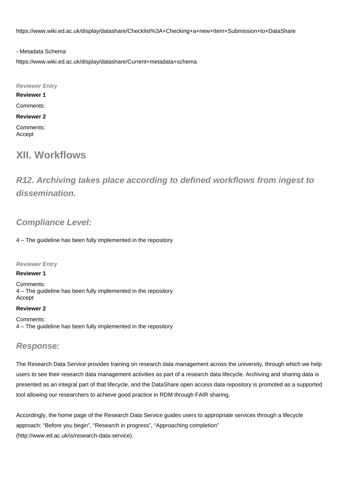<https://www.wiki.ed.ac.uk/display/datashare/Checklist%3A+Checking+a+new+Item+Submission+to+DataShare>

- Metadata Schema

<https://www.wiki.ed.ac.uk/display/datashare/Current+metadata+schema>

**Reviewer Entry Reviewer 1** Comments: **Reviewer 2** Comments: Accept

## **XII. Workflows**

## **R12. Archiving takes place according to defined workflows from ingest to dissemination.**

## **Compliance Level:**

4 – The guideline has been fully implemented in the repository

**Reviewer Entry**

#### **Reviewer 1**

Comments: 4 – The guideline has been fully implemented in the repository Accept

#### **Reviewer 2**

Comments: 4 – The guideline has been fully implemented in the repository

### **Response:**

The Research Data Service provides training on research data management across the university, through which we help users to see their research data management activities as part of a research data lifecycle. Archiving and sharing data is presented as an integral part of that lifecycle, and the DataShare open access data repository is promoted as a supported tool allowing our researchers to achieve good practice in RDM through FAIR sharing.

Accordingly, the home page of the Research Data Service guides users to appropriate services through a lifecycle approach: "Before you begin", "Research in progress", "Approaching completion" (<http://www.ed.ac.uk/is/research-data-service>).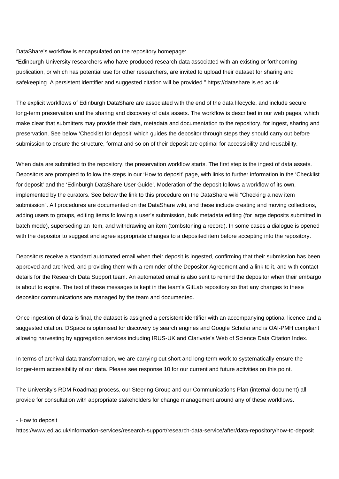DataShare's workflow is encapsulated on the repository homepage:

"Edinburgh University researchers who have produced research data associated with an existing or forthcoming publication, or which has potential use for other researchers, are invited to upload their dataset for sharing and safekeeping. A persistent identifier and suggested citation will be provided." <https://datashare.is.ed.ac.uk>

The explicit workflows of Edinburgh DataShare are associated with the end of the data lifecycle, and include secure long-term preservation and the sharing and discovery of data assets. The workflow is described in our web pages, which make clear that submitters may provide their data, metadata and documentation to the repository, for ingest, sharing and preservation. See below 'Checklist for deposit' which guides the depositor through steps they should carry out before submission to ensure the structure, format and so on of their deposit are optimal for accessibility and reusability.

When data are submitted to the repository, the preservation workflow starts. The first step is the ingest of data assets. Depositors are prompted to follow the steps in our 'How to deposit' page, with links to further information in the 'Checklist for deposit' and the 'Edinburgh DataShare User Guide'. Moderation of the deposit follows a workflow of its own, implemented by the curators. See below the link to this procedure on the DataShare wiki "Checking a new item submission". All procedures are documented on the DataShare wiki, and these include creating and moving collections, adding users to groups, editing items following a user's submission, bulk metadata editing (for large deposits submitted in batch mode), superseding an item, and withdrawing an item (tombstoning a record). In some cases a dialogue is opened with the depositor to suggest and agree appropriate changes to a deposited item before accepting into the repository.

Depositors receive a standard automated email when their deposit is ingested, confirming that their submission has been approved and archived, and providing them with a reminder of the Depositor Agreement and a link to it, and with contact details for the Research Data Support team. An automated email is also sent to remind the depositor when their embargo is about to expire. The text of these messages is kept in the team's GitLab repository so that any changes to these depositor communications are managed by the team and documented.

Once ingestion of data is final, the dataset is assigned a persistent identifier with an accompanying optional licence and a suggested citation. DSpace is optimised for discovery by search engines and Google Scholar and is OAI-PMH compliant allowing harvesting by aggregation services including IRUS-UK and Clarivate's Web of Science Data Citation Index.

In terms of archival data transformation, we are carrying out short and long-term work to systematically ensure the longer-term accessibility of our data. Please see response 10 for our current and future activities on this point.

The University's RDM Roadmap process, our Steering Group and our Communications Plan (internal document) all provide for consultation with appropriate stakeholders for change management around any of these workflows.

#### - How to deposit

<https://www.ed.ac.uk/information-services/research-support/research-data-service/after/data-repository/how-to-deposit>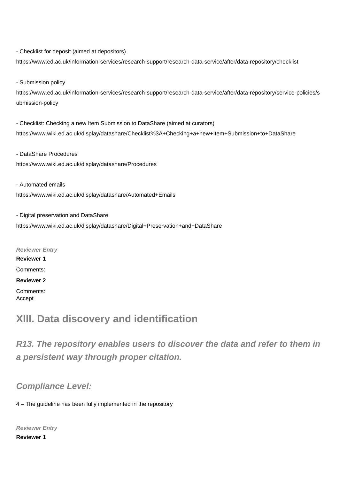- Checklist for deposit (aimed at depositors)

<https://www.ed.ac.uk/information-services/research-support/research-data-service/after/data-repository/checklist>

- Submission policy

[https://www.ed.ac.uk/information-services/research-support/research-data-service/after/data-repository/service-policies/s](https://www.ed.ac.uk/information-services/research-support/research-data-service/after/data-repository/service-policies/submission-policy) [ubmission-policy](https://www.ed.ac.uk/information-services/research-support/research-data-service/after/data-repository/service-policies/submission-policy)

- Checklist: Checking a new Item Submission to DataShare (aimed at curators) <https://www.wiki.ed.ac.uk/display/datashare/Checklist%3A+Checking+a+new+Item+Submission+to+DataShare>

- DataShare Procedures <https://www.wiki.ed.ac.uk/display/datashare/Procedures>

- Automated emails <https://www.wiki.ed.ac.uk/display/datashare/Automated+Emails>

- Digital preservation and DataShare <https://www.wiki.ed.ac.uk/display/datashare/Digital+Preservation+and+DataShare>

**Reviewer Entry Reviewer 1** Comments: **Reviewer 2** Comments: Accept

## **XIII. Data discovery and identification**

**R13. The repository enables users to discover the data and refer to them in a persistent way through proper citation.**

## **Compliance Level:**

4 – The guideline has been fully implemented in the repository

**Reviewer Entry**

**Reviewer 1**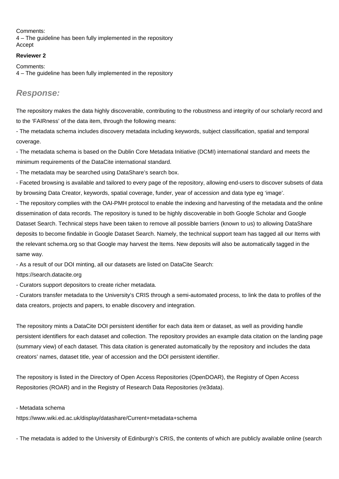Comments: 4 – The guideline has been fully implemented in the repository Accept

#### **Reviewer 2**

Comments: 4 – The guideline has been fully implemented in the repository

### **Response:**

The repository makes the data highly discoverable, contributing to the robustness and integrity of our scholarly record and to the 'FAIRness' of the data item, through the following means:

- The metadata schema includes discovery metadata including keywords, subject classification, spatial and temporal coverage.

- The metadata schema is based on the Dublin Core Metadata Initiative (DCMI) international standard and meets the minimum requirements of the DataCite international standard.

- The metadata may be searched using DataShare's search box.

- Faceted browsing is available and tailored to every page of the repository, allowing end-users to discover subsets of data by browsing Data Creator, keywords, spatial coverage, funder, year of accession and data type eg 'image'.

- The repository complies with the OAI-PMH protocol to enable the indexing and harvesting of the metadata and the online dissemination of data records. The repository is tuned to be highly discoverable in both Google Scholar and Google Dataset Search. Technical steps have been taken to remove all possible barriers (known to us) to allowing DataShare deposits to become findable in Google Dataset Search. Namely, the technical support team has tagged all our Items with the relevant schema.org so that Google may harvest the Items. New deposits will also be automatically tagged in the same way.

- As a result of our DOI minting, all our datasets are listed on DataCite Search:

<https://search.datacite.org>

- Curators support depositors to create richer metadata.

- Curators transfer metadata to the University's CRIS through a semi-automated process, to link the data to profiles of the data creators, projects and papers, to enable discovery and integration.

The repository mints a DataCite DOI persistent identifier for each data item or dataset, as well as providing handle persistent identifiers for each dataset and collection. The repository provides an example data citation on the landing page (summary view) of each dataset. This data citation is generated automatically by the repository and includes the data creators' names, dataset title, year of accession and the DOI persistent identifier.

The repository is listed in the Directory of Open Access Repositories (OpenDOAR), the Registry of Open Access Repositories (ROAR) and in the Registry of Research Data Repositories (re3data).

#### - Metadata schema

<https://www.wiki.ed.ac.uk/display/datashare/Current+metadata+schema>

- The metadata is added to the University of Edinburgh's CRIS, the contents of which are publicly available online (search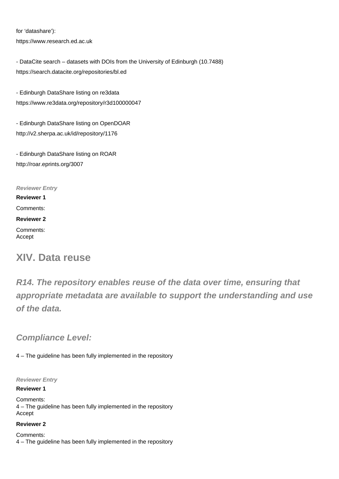for 'datashare'): <https://www.research.ed.ac.uk>

- DataCite search – datasets with DOIs from the University of Edinburgh (10.7488) <https://search.datacite.org/repositories/bl.ed>

- Edinburgh DataShare listing on re3data <https://www.re3data.org/repository/r3d100000047>

- Edinburgh DataShare listing on OpenDOAR <http://v2.sherpa.ac.uk/id/repository/1176>

- Edinburgh DataShare listing on ROAR <http://roar.eprints.org/3007>

**Reviewer Entry Reviewer 1**

Comments:

**Reviewer 2**

Comments: Accept

## **XIV. Data reuse**

**R14. The repository enables reuse of the data over time, ensuring that appropriate metadata are available to support the understanding and use of the data.**

**Compliance Level:**

4 – The guideline has been fully implemented in the repository

**Reviewer Entry**

#### **Reviewer 1**

Comments: 4 – The guideline has been fully implemented in the repository Accept

#### **Reviewer 2**

Comments: 4 – The guideline has been fully implemented in the repository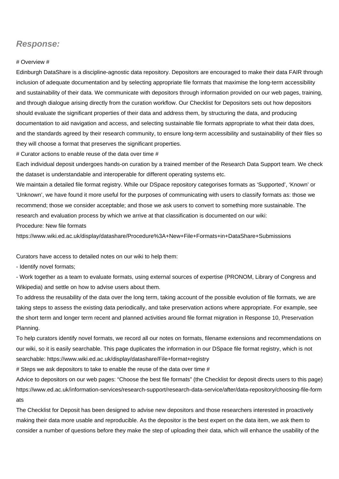### **Response:**

#### # Overview #

Edinburgh DataShare is a discipline-agnostic data repository. Depositors are encouraged to make their data FAIR through inclusion of adequate documentation and by selecting appropriate file formats that maximise the long-term accessibility and sustainability of their data. We communicate with depositors through information provided on our web pages, training, and through dialogue arising directly from the curation workflow. Our Checklist for Depositors sets out how depositors should evaluate the significant properties of their data and address them, by structuring the data, and producing documentation to aid navigation and access, and selecting sustainable file formats appropriate to what their data does, and the standards agreed by their research community, to ensure long-term accessibility and sustainability of their files so they will choose a format that preserves the significant properties.

# Curator actions to enable reuse of the data over time #

Each individual deposit undergoes hands-on curation by a trained member of the Research Data Support team. We check the dataset is understandable and interoperable for different operating systems etc.

We maintain a detailed file format registry. While our DSpace repository categorises formats as 'Supported', 'Known' or 'Unknown', we have found it more useful for the purposes of communicating with users to classify formats as: those we recommend; those we consider acceptable; and those we ask users to convert to something more sustainable. The research and evaluation process by which we arrive at that classification is documented on our wiki:

Procedure: New file formats

<https://www.wiki.ed.ac.uk/display/datashare/Procedure%3A+New+File+Formats+in+DataShare+Submissions>

Curators have access to detailed notes on our wiki to help them:

- Identify novel formats;

- Work together as a team to evaluate formats, using external sources of expertise (PRONOM, Library of Congress and Wikipedia) and settle on how to advise users about them.

To address the reusability of the data over the long term, taking account of the possible evolution of file formats, we are taking steps to assess the existing data periodically, and take preservation actions where appropriate. For example, see the short term and longer term recent and planned activities around file format migration in Response 10, Preservation Planning.

To help curators identify novel formats, we record all our notes on formats, filename extensions and recommendations on our wiki, so it is easily searchable. This page duplicates the information in our DSpace file format registry, which is not searchable: <https://www.wiki.ed.ac.uk/display/datashare/File+format+registry>

# Steps we ask depositors to take to enable the reuse of the data over time #

Advice to depositors on our web pages: "Choose the best file formats" (the Checklist for deposit directs users to this page) [https://www.ed.ac.uk/information-services/research-support/research-data-service/after/data-repository/choosing-file-form](https://www.ed.ac.uk/information-services/research-support/research-data-service/after/data-repository/choosing-file-formats) [ats](https://www.ed.ac.uk/information-services/research-support/research-data-service/after/data-repository/choosing-file-formats)

The Checklist for Deposit has been designed to advise new depositors and those researchers interested in proactively making their data more usable and reproducible. As the depositor is the best expert on the data item, we ask them to consider a number of questions before they make the step of uploading their data, which will enhance the usability of the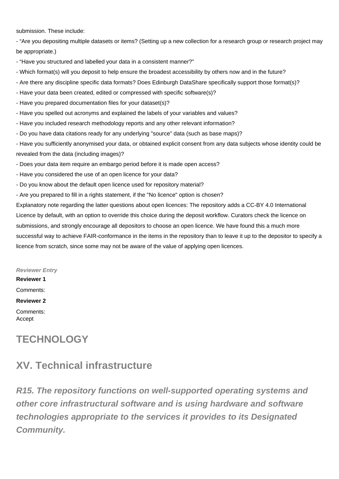submission. These include:

- "Are you depositing multiple datasets or items? (Setting up a new collection for a research group or research project may be appropriate.)

- "Have you structured and labelled your data in a consistent manner?"
- Which format(s) will you deposit to help ensure the broadest accessibility by others now and in the future?
- Are there any discipline specific data formats? Does Edinburgh DataShare specifically support those format(s)?
- Have your data been created, edited or compressed with specific software(s)?
- Have you prepared documentation files for your dataset(s)?
- Have you spelled out acronyms and explained the labels of your variables and values?
- Have you included research methodology reports and any other relevant information?
- Do you have data citations ready for any underlying "source" data (such as base maps)?
- Have you sufficiently anonymised your data, or obtained explicit consent from any data subjects whose identity could be revealed from the data (including images)?
- Does your data item require an embargo period before it is made open access?
- Have you considered the use of an open licence for your data?
- Do you know about the default open licence used for repository material?
- Are you prepared to fill in a rights statement, if the "No licence" option is chosen?

Explanatory note regarding the latter questions about open licences: The repository adds a CC-BY 4.0 International Licence by default, with an option to override this choice during the deposit workflow. Curators check the licence on submissions, and strongly encourage all depositors to choose an open licence. We have found this a much more successful way to achieve FAIR-conformance in the items in the repository than to leave it up to the depositor to specify a licence from scratch, since some may not be aware of the value of applying open licences.

### **Reviewer Entry**

**Reviewer 1**

Comments:

#### **Reviewer 2**

Comments: Accept

## **TECHNOLOGY**

## **XV. Technical infrastructure**

**R15. The repository functions on well-supported operating systems and other core infrastructural software and is using hardware and software technologies appropriate to the services it provides to its Designated Community.**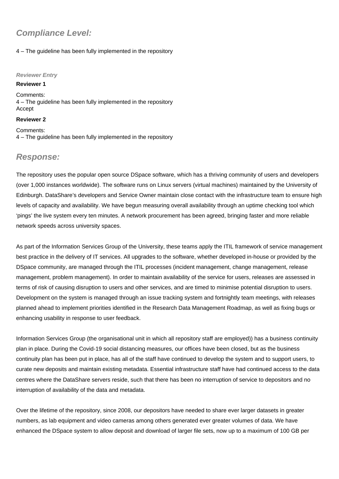## **Compliance Level:**

#### 4 – The guideline has been fully implemented in the repository

#### **Reviewer Entry**

#### **Reviewer 1**

Comments: 4 – The guideline has been fully implemented in the repository Accept

#### **Reviewer 2**

Comments: 4 – The guideline has been fully implemented in the repository

### **Response:**

The repository uses the popular open source DSpace software, which has a thriving community of users and developers (over 1,000 instances worldwide). The software runs on Linux servers (virtual machines) maintained by the University of Edinburgh. DataShare's developers and Service Owner maintain close contact with the infrastructure team to ensure high levels of capacity and availability. We have begun measuring overall availability through an uptime checking tool which 'pings' the live system every ten minutes. A network procurement has been agreed, bringing faster and more reliable network speeds across university spaces.

As part of the Information Services Group of the University, these teams apply the ITIL framework of service management best practice in the delivery of IT services. All upgrades to the software, whether developed in-house or provided by the DSpace community, are managed through the ITIL processes (incident management, change management, release management, problem management). In order to maintain availability of the service for users, releases are assessed in terms of risk of causing disruption to users and other services, and are timed to minimise potential disruption to users. Development on the system is managed through an issue tracking system and fortnightly team meetings, with releases planned ahead to implement priorities identified in the Research Data Management Roadmap, as well as fixing bugs or enhancing usability in response to user feedback.

Information Services Group (the organisational unit in which all repository staff are employed)) has a business continuity plan in place. During the Covid-19 social distancing measures, our offices have been closed, but as the business continuity plan has been put in place, has all of the staff have continued to develop the system and to support users, to curate new deposits and maintain existing metadata. Essential infrastructure staff have had continued access to the data centres where the DataShare servers reside, such that there has been no interruption of service to depositors and no interruption of availability of the data and metadata.

Over the lifetime of the repository, since 2008, our depositors have needed to share ever larger datasets in greater numbers, as lab equipment and video cameras among others generated ever greater volumes of data. We have enhanced the DSpace system to allow deposit and download of larger file sets, now up to a maximum of 100 GB per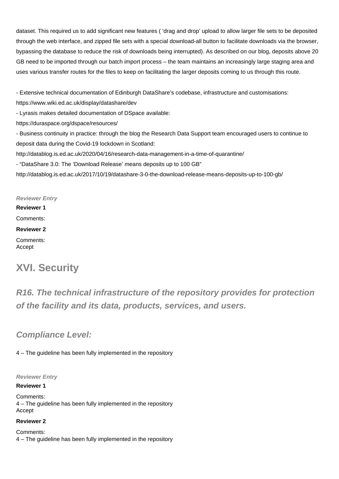dataset. This required us to add significant new features ( 'drag and drop' upload to allow larger file sets to be deposited through the web interface, and zipped file sets with a special download-all button to facilitate downloads via the browser, bypassing the database to reduce the risk of downloads being interrupted). As described on our blog, deposits above 20 GB need to be imported through our batch import process – the team maintains an increasingly large staging area and uses various transfer routes for the files to keep on facilitating the larger deposits coming to us through this route.

- Extensive technical documentation of Edinburgh DataShare's codebase, infrastructure and customisations: <https://www.wiki.ed.ac.uk/display/datashare/dev>

- Lyrasis makes detailed documentation of DSpace available:

<https://duraspace.org/dspace/resources/>

- Business continuity in practice: through the blog the Research Data Support team encouraged users to continue to deposit data during the Covid-19 lockdown in Scotland:

<http://datablog.is.ed.ac.uk/2020/04/16/research-data-management-in-a-time-of-quarantine/>

- "DataShare 3.0: The 'Download Release' means deposits up to 100 GB"

<http://datablog.is.ed.ac.uk/2017/10/19/datashare-3-0-the-download-release-means-deposits-up-to-100-gb/>

#### **Reviewer Entry**

**Reviewer 1**

Comments:

**Reviewer 2**

Comments: Accept

## **XVI. Security**

**R16. The technical infrastructure of the repository provides for protection of the facility and its data, products, services, and users.**

### **Compliance Level:**

4 – The guideline has been fully implemented in the repository

#### **Reviewer Entry**

#### **Reviewer 1**

Comments: 4 – The guideline has been fully implemented in the repository Accept

#### **Reviewer 2**

Comments: 4 – The guideline has been fully implemented in the repository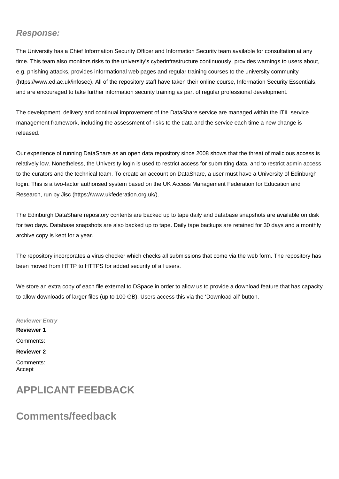### **Response:**

The University has a Chief Information Security Officer and Information Security team available for consultation at any time. This team also monitors risks to the university's cyberinfrastructure continuously, provides warnings to users about, e.g. phishing attacks, provides informational web pages and regular training courses to the university community (<https://www.ed.ac.uk/infosec>). All of the repository staff have taken their online course, Information Security Essentials, and are encouraged to take further information security training as part of regular professional development.

The development, delivery and continual improvement of the DataShare service are managed within the ITIL service management framework, including the assessment of risks to the data and the service each time a new change is released.

Our experience of running DataShare as an open data repository since 2008 shows that the threat of malicious access is relatively low. Nonetheless, the University login is used to restrict access for submitting data, and to restrict admin access to the curators and the technical team. To create an account on DataShare, a user must have a University of Edinburgh login. This is a two-factor authorised system based on the UK Access Management Federation for Education and Research, run by Jisc (<https://www.ukfederation.org.uk/>).

The Edinburgh DataShare repository contents are backed up to tape daily and database snapshots are available on disk for two days. Database snapshots are also backed up to tape. Daily tape backups are retained for 30 days and a monthly archive copy is kept for a year.

The repository incorporates a virus checker which checks all submissions that come via the web form. The repository has been moved from HTTP to HTTPS for added security of all users.

We store an extra copy of each file external to DSpace in order to allow us to provide a download feature that has capacity to allow downloads of larger files (up to 100 GB). Users access this via the 'Download all' button.

**Reviewer Entry Reviewer 1** Comments: **Reviewer 2** Comments: Accept

## **APPLICANT FEEDBACK**

## **Comments/feedback**